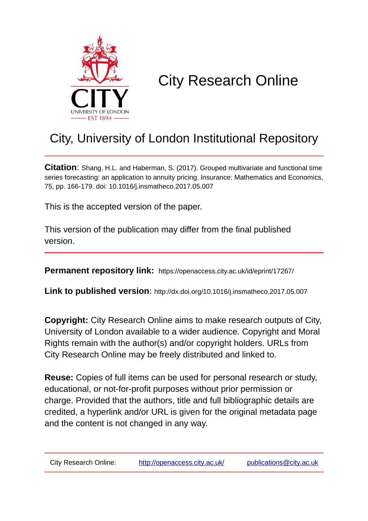

# City Research Online

# City, University of London Institutional Repository

**Citation**: Shang, H.L. and Haberman, S. (2017). Grouped multivariate and functional time series forecasting: an application to annuity pricing. Insurance: Mathematics and Economics, 75, pp. 166-179. doi: 10.1016/j.insmatheco.2017.05.007

This is the accepted version of the paper.

This version of the publication may differ from the final published version.

**Permanent repository link:** https://openaccess.city.ac.uk/id/eprint/17267/

**Link to published version**: http://dx.doi.org/10.1016/j.insmatheco.2017.05.007

**Copyright:** City Research Online aims to make research outputs of City, University of London available to a wider audience. Copyright and Moral Rights remain with the author(s) and/or copyright holders. URLs from City Research Online may be freely distributed and linked to.

**Reuse:** Copies of full items can be used for personal research or study, educational, or not-for-profit purposes without prior permission or charge. Provided that the authors, title and full bibliographic details are credited, a hyperlink and/or URL is given for the original metadata page and the content is not changed in any way.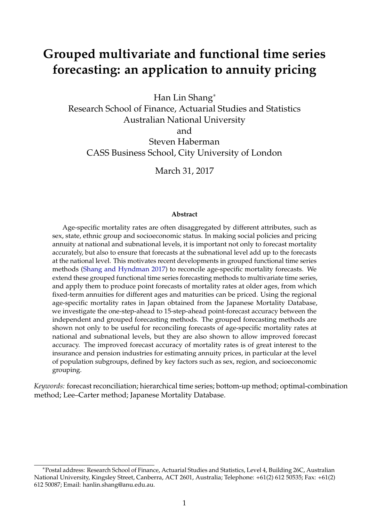# **Grouped multivariate and functional time series forecasting: an application to annuity pricing**

Han Lin Shang<sup>∗</sup>

Research School of Finance, Actuarial Studies and Statistics Australian National University and Steven Haberman CASS Business School, City University of London

March 31, 2017

#### **Abstract**

Age-specific mortality rates are often disaggregated by different attributes, such as sex, state, ethnic group and socioeconomic status. In making social policies and pricing annuity at national and subnational levels, it is important not only to forecast mortality accurately, but also to ensure that forecasts at the subnational level add up to the forecasts at the national level. This motivates recent developments in grouped functional time series methods [\(Shang and Hyndman](#page-35-0) [2017\)](#page-35-0) to reconcile age-specific mortality forecasts. We extend these grouped functional time series forecasting methods to multivariate time series, and apply them to produce point forecasts of mortality rates at older ages, from which fixed-term annuities for different ages and maturities can be priced. Using the regional age-specific mortality rates in Japan obtained from the Japanese Mortality Database, we investigate the one-step-ahead to 15-step-ahead point-forecast accuracy between the independent and grouped forecasting methods. The grouped forecasting methods are shown not only to be useful for reconciling forecasts of age-specific mortality rates at national and subnational levels, but they are also shown to allow improved forecast accuracy. The improved forecast accuracy of mortality rates is of great interest to the insurance and pension industries for estimating annuity prices, in particular at the level of population subgroups, defined by key factors such as sex, region, and socioeconomic grouping.

*Keywords:* forecast reconciliation; hierarchical time series; bottom-up method; optimal-combination method; Lee–Carter method; Japanese Mortality Database.

<sup>∗</sup>Postal address: Research School of Finance, Actuarial Studies and Statistics, Level 4, Building 26C, Australian National University, Kingsley Street, Canberra, ACT 2601, Australia; Telephone: +61(2) 612 50535; Fax: +61(2) 612 50087; Email: hanlin.shang@anu.edu.au.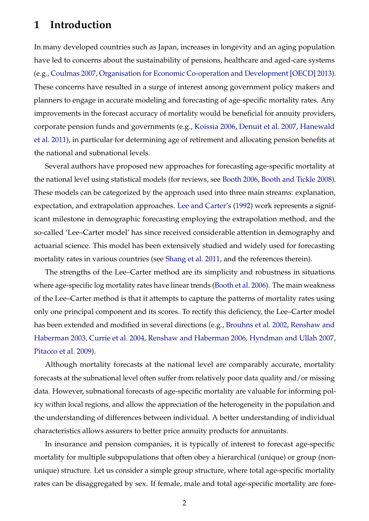## **1 Introduction**

In many developed countries such as Japan, increases in longevity and an aging population have led to concerns about the sustainability of pensions, healthcare and aged-care systems (e.g., [Coulmas](#page-33-0) [2007,](#page-33-0) [Organisation for Economic Co-operation and Development \[OECD\]](#page-35-1) [2013\)](#page-35-1). These concerns have resulted in a surge of interest among government policy makers and planners to engage in accurate modeling and forecasting of age-specific mortality rates. Any improvements in the forecast accuracy of mortality would be beneficial for annuity providers, corporate pension funds and governments (e.g., [Koissia](#page-34-0) [2006,](#page-34-0) [Denuit et al.](#page-33-1) [2007,](#page-33-1) [Hanewald](#page-33-2) [et al.](#page-33-2) [2011\)](#page-33-2), in particular for determining age of retirement and allocating pension benefits at the national and subnational levels.

Several authors have proposed new approaches for forecasting age-specific mortality at the national level using statistical models (for reviews, see [Booth](#page-32-0) [2006,](#page-32-0) [Booth and Tickle](#page-32-1) [2008\)](#page-32-1). These models can be categorized by the approach used into three main streams: explanation, expectation, and extrapolation approaches. [Lee and Carter'](#page-34-1)s [\(1992\)](#page-34-1) work represents a significant milestone in demographic forecasting employing the extrapolation method, and the so-called 'Lee–Carter model' has since received considerable attention in demography and actuarial science. This model has been extensively studied and widely used for forecasting mortality rates in various countries (see [Shang et al.](#page-35-2) [2011,](#page-35-2) and the references therein).

The strengths of the Lee–Carter method are its simplicity and robustness in situations where age-specific log mortality rates have linear trends [\(Booth et al.](#page-32-2) [2006\)](#page-32-2). The main weakness of the Lee–Carter method is that it attempts to capture the patterns of mortality rates using only one principal component and its scores. To rectify this deficiency, the Lee–Carter model has been extended and modified in several directions (e.g., [Brouhns et al.](#page-32-3) [2002,](#page-32-3) [Renshaw and](#page-35-3) [Haberman](#page-35-3) [2003,](#page-35-3) [Currie et al.](#page-33-3) [2004,](#page-33-3) [Renshaw and Haberman](#page-35-4) [2006,](#page-35-4) [Hyndman and Ullah](#page-34-2) [2007,](#page-34-2) [Pitacco et al.](#page-35-5) [2009\)](#page-35-5).

Although mortality forecasts at the national level are comparably accurate, mortality forecasts at the subnational level often suffer from relatively poor data quality and/or missing data. However, subnational forecasts of age-specific mortality are valuable for informing policy within local regions, and allow the appreciation of the heterogeneity in the population and the understanding of differences between individual. A better understanding of individual characteristics allows assurers to better price annuity products for annuitants.

In insurance and pension companies, it is typically of interest to forecast age-specific mortality for multiple subpopulations that often obey a hierarchical (unique) or group (nonunique) structure. Let us consider a simple group structure, where total age-specific mortality rates can be disaggregated by sex. If female, male and total age-specific mortality are fore-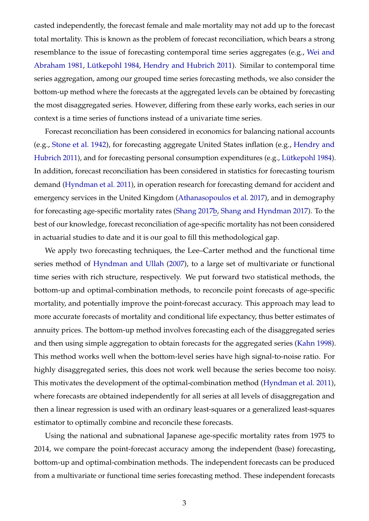casted independently, the forecast female and male mortality may not add up to the forecast total mortality. This is known as the problem of forecast reconciliation, which bears a strong resemblance to the issue of forecasting contemporal time series aggregates (e.g., [Wei and](#page-36-0) [Abraham](#page-36-0) [1981,](#page-36-0) Lütkepohl [1984,](#page-34-3) [Hendry and Hubrich](#page-33-4) [2011\)](#page-33-4). Similar to contemporal time series aggregation, among our grouped time series forecasting methods, we also consider the bottom-up method where the forecasts at the aggregated levels can be obtained by forecasting the most disaggregated series. However, differing from these early works, each series in our context is a time series of functions instead of a univariate time series.

Forecast reconciliation has been considered in economics for balancing national accounts (e.g., [Stone et al.](#page-36-1) [1942\)](#page-36-1), for forecasting aggregate United States inflation (e.g., [Hendry and](#page-33-4) [Hubrich](#page-33-4) [2011\)](#page-33-4), and for forecasting personal consumption expenditures (e.g., Lütkepohl [1984\)](#page-34-3). In addition, forecast reconciliation has been considered in statistics for forecasting tourism demand [\(Hyndman et al.](#page-34-4) [2011\)](#page-34-4), in operation research for forecasting demand for accident and emergency services in the United Kingdom [\(Athanasopoulos et al.](#page-32-4) [2017\)](#page-32-4), and in demography for forecasting age-specific mortality rates [\(Shang](#page-35-6) [2017b,](#page-35-6) [Shang and Hyndman](#page-35-0) [2017\)](#page-35-0). To the best of our knowledge, forecast reconciliation of age-specific mortality has not been considered in actuarial studies to date and it is our goal to fill this methodological gap.

We apply two forecasting techniques, the Lee–Carter method and the functional time series method of [Hyndman and Ullah](#page-34-2) [\(2007\)](#page-34-2), to a large set of multivariate or functional time series with rich structure, respectively. We put forward two statistical methods, the bottom-up and optimal-combination methods, to reconcile point forecasts of age-specific mortality, and potentially improve the point-forecast accuracy. This approach may lead to more accurate forecasts of mortality and conditional life expectancy, thus better estimates of annuity prices. The bottom-up method involves forecasting each of the disaggregated series and then using simple aggregation to obtain forecasts for the aggregated series [\(Kahn](#page-34-5) [1998\)](#page-34-5). This method works well when the bottom-level series have high signal-to-noise ratio. For highly disaggregated series, this does not work well because the series become too noisy. This motivates the development of the optimal-combination method [\(Hyndman et al.](#page-34-4) [2011\)](#page-34-4), where forecasts are obtained independently for all series at all levels of disaggregation and then a linear regression is used with an ordinary least-squares or a generalized least-squares estimator to optimally combine and reconcile these forecasts.

Using the national and subnational Japanese age-specific mortality rates from 1975 to 2014, we compare the point-forecast accuracy among the independent (base) forecasting, bottom-up and optimal-combination methods. The independent forecasts can be produced from a multivariate or functional time series forecasting method. These independent forecasts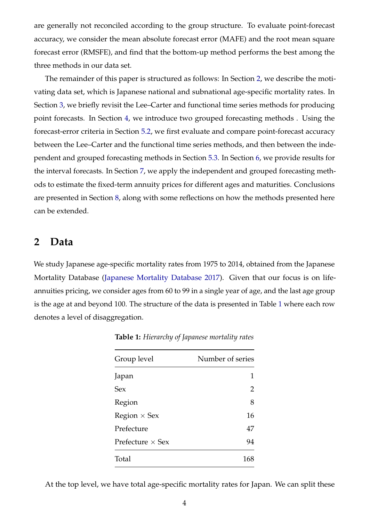are generally not reconciled according to the group structure. To evaluate point-forecast accuracy, we consider the mean absolute forecast error (MAFE) and the root mean square forecast error (RMSFE), and find that the bottom-up method performs the best among the three methods in our data set.

The remainder of this paper is structured as follows: In Section [2,](#page-4-0) we describe the motivating data set, which is Japanese national and subnational age-specific mortality rates. In Section [3,](#page-7-0) we briefly revisit the Lee–Carter and functional time series methods for producing point forecasts. In Section [4,](#page-10-0) we introduce two grouped forecasting methods . Using the forecast-error criteria in Section [5.2,](#page-18-0) we first evaluate and compare point-forecast accuracy between the Lee–Carter and the functional time series methods, and then between the independent and grouped forecasting methods in Section [5.3.](#page-19-0) In Section [6,](#page-22-0) we provide results for the interval forecasts. In Section [7,](#page-26-0) we apply the independent and grouped forecasting methods to estimate the fixed-term annuity prices for different ages and maturities. Conclusions are presented in Section [8,](#page-29-0) along with some reflections on how the methods presented here can be extended.

### <span id="page-4-0"></span>**2 Data**

<span id="page-4-1"></span>We study Japanese age-specific mortality rates from 1975 to 2014, obtained from the Japanese Mortality Database [\(Japanese Mortality Database](#page-34-6) [2017\)](#page-34-6). Given that our focus is on lifeannuities pricing, we consider ages from 60 to 99 in a single year of age, and the last age group is the age at and beyond 100. The structure of the data is presented in Table [1](#page-4-1) where each row denotes a level of disaggregation.

| Group level             | Number of series |
|-------------------------|------------------|
| Japan                   |                  |
| Sex                     | 2                |
| Region                  | 8                |
| Region $\times$ Sex     | 16               |
| Prefecture              | 47               |
| Prefecture $\times$ Sex | 94               |
| Total                   | 168              |

**Table 1:** *Hierarchy of Japanese mortality rates*

At the top level, we have total age-specific mortality rates for Japan. We can split these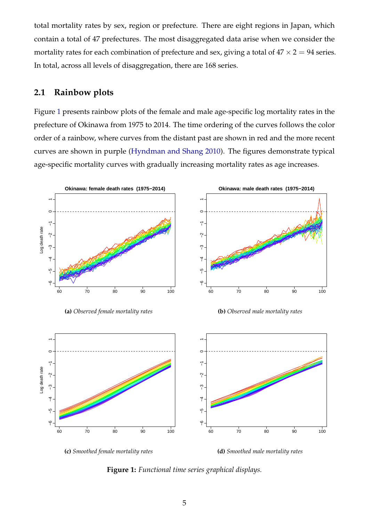total mortality rates by sex, region or prefecture. There are eight regions in Japan, which contain a total of 47 prefectures. The most disaggregated data arise when we consider the mortality rates for each combination of prefecture and sex, giving a total of  $47 \times 2 = 94$  series. In total, across all levels of disaggregation, there are 168 series.

### **2.1 Rainbow plots**

Figure [1](#page-5-0) presents rainbow plots of the female and male age-specific log mortality rates in the prefecture of Okinawa from 1975 to 2014. The time ordering of the curves follows the color order of a rainbow, where curves from the distant past are shown in red and the more recent curves are shown in purple [\(Hyndman and Shang](#page-34-7) [2010\)](#page-34-7). The figures demonstrate typical age-specific mortality curves with gradually increasing mortality rates as age increases.

<span id="page-5-1"></span><span id="page-5-0"></span>

**(a)** *Observed female mortality rates*

<span id="page-5-2"></span>**(b)** *Observed male mortality rates*

<span id="page-5-3"></span>



<span id="page-5-4"></span>

**Figure 1:** *Functional time series graphical displays.*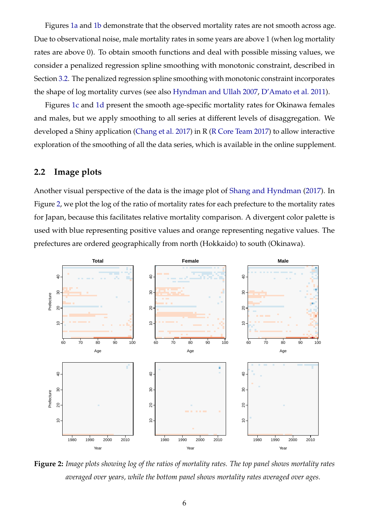Figures [1a](#page-5-1) and [1b](#page-5-2) demonstrate that the observed mortality rates are not smooth across age. Due to observational noise, male mortality rates in some years are above 1 (when log mortality rates are above 0). To obtain smooth functions and deal with possible missing values, we consider a penalized regression spline smoothing with monotonic constraint, described in Section [3.2.](#page-8-0) The penalized regression spline smoothing with monotonic constraint incorporates the shape of log mortality curves (see also [Hyndman and Ullah](#page-34-2) [2007,](#page-34-2) [D'Amato et al.](#page-33-5) [2011\)](#page-33-5).

Figures [1c](#page-5-3) and [1d](#page-5-4) present the smooth age-specific mortality rates for Okinawa females and males, but we apply smoothing to all series at different levels of disaggregation. We developed a Shiny application [\(Chang et al.](#page-32-5) [2017\)](#page-32-5) in R [\(R Core Team](#page-35-7) [2017\)](#page-35-7) to allow interactive exploration of the smoothing of all the data series, which is available in the online supplement.

#### **2.2 Image plots**

Another visual perspective of the data is the image plot of [Shang and Hyndman](#page-35-0) [\(2017\)](#page-35-0). In Figure [2,](#page-6-0) we plot the log of the ratio of mortality rates for each prefecture to the mortality rates for Japan, because this facilitates relative mortality comparison. A divergent color palette is used with blue representing positive values and orange representing negative values. The prefectures are ordered geographically from north (Hokkaido) to south (Okinawa).

<span id="page-6-0"></span>

**Figure 2:** *Image plots showing log of the ratios of mortality rates. The top panel shows mortality rates averaged over years, while the bottom panel shows mortality rates averaged over ages.*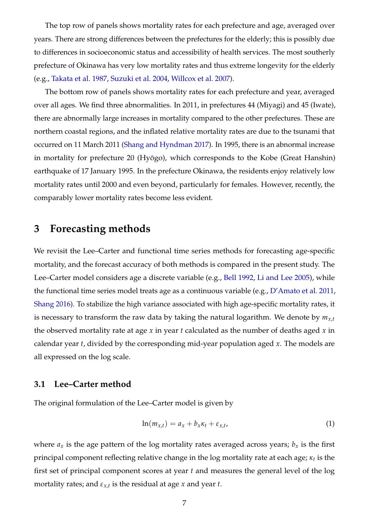The top row of panels shows mortality rates for each prefecture and age, averaged over years. There are strong differences between the prefectures for the elderly; this is possibly due to differences in socioeconomic status and accessibility of health services. The most southerly prefecture of Okinawa has very low mortality rates and thus extreme longevity for the elderly (e.g., [Takata et al.](#page-36-2) [1987,](#page-36-2) [Suzuki et al.](#page-36-3) [2004,](#page-36-3) [Willcox et al.](#page-36-4) [2007\)](#page-36-4).

The bottom row of panels shows mortality rates for each prefecture and year, averaged over all ages. We find three abnormalities. In 2011, in prefectures 44 (Miyagi) and 45 (Iwate), there are abnormally large increases in mortality compared to the other prefectures. These are northern coastal regions, and the inflated relative mortality rates are due to the tsunami that occurred on 11 March 2011 [\(Shang and Hyndman](#page-35-0) [2017\)](#page-35-0). In 1995, there is an abnormal increase in mortality for prefecture 20 (Hyōgo), which corresponds to the Kobe (Great Hanshin) earthquake of 17 January 1995. In the prefecture Okinawa, the residents enjoy relatively low mortality rates until 2000 and even beyond, particularly for females. However, recently, the comparably lower mortality rates become less evident.

# <span id="page-7-0"></span>**3 Forecasting methods**

We revisit the Lee–Carter and functional time series methods for forecasting age-specific mortality, and the forecast accuracy of both methods is compared in the present study. The Lee–Carter model considers age a discrete variable (e.g., [Bell](#page-32-6) [1992,](#page-32-6) [Li and Lee](#page-34-8) [2005\)](#page-34-8), while the functional time series model treats age as a continuous variable (e.g., [D'Amato et al.](#page-33-5) [2011,](#page-33-5) [Shang](#page-35-8) [2016\)](#page-35-8). To stabilize the high variance associated with high age-specific mortality rates, it is necessary to transform the raw data by taking the natural logarithm. We denote by  $m_{x,t}$ the observed mortality rate at age *x* in year *t* calculated as the number of deaths aged *x* in calendar year *t*, divided by the corresponding mid-year population aged *x*. The models are all expressed on the log scale.

#### **3.1 Lee–Carter method**

The original formulation of the Lee–Carter model is given by

<span id="page-7-1"></span>
$$
\ln(m_{x,t}) = a_x + b_x \kappa_t + \varepsilon_{x,t},\tag{1}
$$

where  $a_x$  is the age pattern of the log mortality rates averaged across years;  $b_x$  is the first principal component reflecting relative change in the log mortality rate at each age; *κ<sup>t</sup>* is the first set of principal component scores at year *t* and measures the general level of the log mortality rates; and *εx*,*<sup>t</sup>* is the residual at age *x* and year *t*.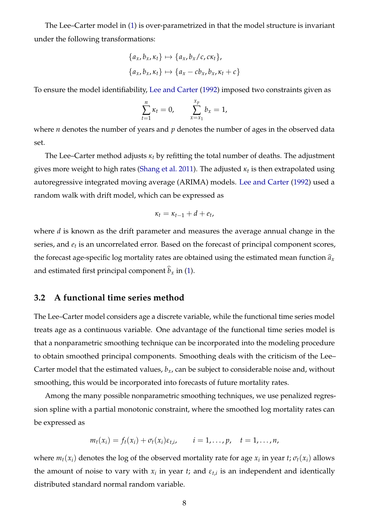The Lee–Carter model in [\(1\)](#page-7-1) is over-parametrized in that the model structure is invariant under the following transformations:

$$
\{a_x, b_x, \kappa_t\} \mapsto \{a_x, b_x/c, c\kappa_t\},
$$

$$
\{a_x, b_x, \kappa_t\} \mapsto \{a_x - cb_x, b_x, \kappa_t + c\}
$$

To ensure the model identifiability, [Lee and Carter](#page-34-1) [\(1992\)](#page-34-1) imposed two constraints given as

$$
\sum_{t=1}^n \kappa_t = 0, \qquad \sum_{x=x_1}^{x_p} b_x = 1,
$$

where *n* denotes the number of years and *p* denotes the number of ages in the observed data set.

The Lee–Carter method adjusts *κ<sup>t</sup>* by refitting the total number of deaths. The adjustment gives more weight to high rates [\(Shang et al.](#page-35-2) [2011\)](#page-35-2). The adjusted *κ<sup>t</sup>* is then extrapolated using autoregressive integrated moving average (ARIMA) models. [Lee and Carter](#page-34-1) [\(1992\)](#page-34-1) used a random walk with drift model, which can be expressed as

$$
\kappa_t = \kappa_{t-1} + d + e_t,
$$

where *d* is known as the drift parameter and measures the average annual change in the series, and *e<sup>t</sup>* is an uncorrelated error. Based on the forecast of principal component scores, the forecast age-specific log mortality rates are obtained using the estimated mean function  $\hat{a}_x$ and estimated first principal component  $\widehat{b}_x$  in [\(1\)](#page-7-1).

### <span id="page-8-0"></span>**3.2 A functional time series method**

The Lee–Carter model considers age a discrete variable, while the functional time series model treats age as a continuous variable. One advantage of the functional time series model is that a nonparametric smoothing technique can be incorporated into the modeling procedure to obtain smoothed principal components. Smoothing deals with the criticism of the Lee– Carter model that the estimated values,  $b<sub>x</sub>$ , can be subject to considerable noise and, without smoothing, this would be incorporated into forecasts of future mortality rates.

Among the many possible nonparametric smoothing techniques, we use penalized regression spline with a partial monotonic constraint, where the smoothed log mortality rates can be expressed as

$$
m_t(x_i) = f_t(x_i) + \sigma_t(x_i)\varepsilon_{t,i}, \qquad i = 1,\ldots,p, \quad t = 1,\ldots,n,
$$

where  $m_t(x_i)$  denotes the log of the observed mortality rate for age  $x_i$  in year  $t$ ;  $\sigma_t(x_i)$  allows the amount of noise to vary with  $x_i$  in year *t*; and  $\varepsilon_{t,i}$  is an independent and identically distributed standard normal random variable.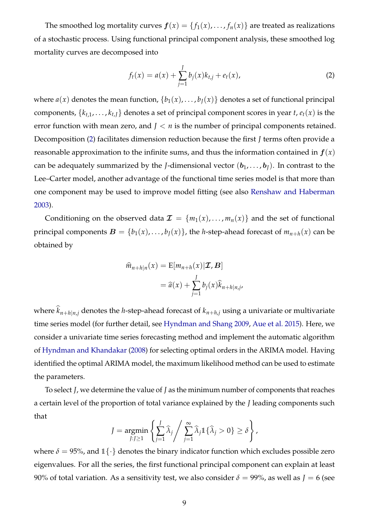The smoothed log mortality curves  $f(x) = \{f_1(x), \ldots, f_n(x)\}\$  are treated as realizations of a stochastic process. Using functional principal component analysis, these smoothed log mortality curves are decomposed into

<span id="page-9-0"></span>
$$
f_t(x) = a(x) + \sum_{j=1}^{J} b_j(x)k_{t,j} + e_t(x),
$$
\n(2)

where  $a(x)$  denotes the mean function,  $\{b_1(x), \ldots, b_I(x)\}$  denotes a set of functional principal components,  $\{k_{t,1}, \ldots, k_{t,J}\}$  denotes a set of principal component scores in year  $t$ ,  $e_t(x)$  is the error function with mean zero, and *J* < *n* is the number of principal components retained. Decomposition [\(2\)](#page-9-0) facilitates dimension reduction because the first *J* terms often provide a reasonable approximation to the infinite sums, and thus the information contained in  $f(x)$ can be adequately summarized by the *J*-dimensional vector  $(b_1, \ldots, b_l)$ . In contrast to the Lee–Carter model, another advantage of the functional time series model is that more than one component may be used to improve model fitting (see also [Renshaw and Haberman](#page-35-3) [2003\)](#page-35-3).

Conditioning on the observed data  $\mathcal{I} = \{m_1(x), \ldots, m_n(x)\}\$  and the set of functional principal components  $B = \{b_1(x), \ldots, b_I(x)\}\$ , the *h*-step-ahead forecast of  $m_{n+h}(x)$  can be obtained by

$$
\widehat{m}_{n+h|n}(x) = \mathbb{E}[m_{n+h}(x)|\mathcal{I}, \mathcal{B}]
$$

$$
= \widehat{a}(x) + \sum_{j=1}^{J} b_j(x)\widehat{k}_{n+h|n,j},
$$

where  $\hat{k}_{n+h|n,j}$  denotes the *h*-step-ahead forecast of  $k_{n+h,j}$  using a univariate or multivariate time series model (for further detail, see [Hyndman and Shang](#page-34-9) [2009,](#page-34-9) [Aue et al.](#page-32-7) [2015\)](#page-32-7). Here, we consider a univariate time series forecasting method and implement the automatic algorithm of [Hyndman and Khandakar](#page-34-10) [\(2008\)](#page-34-10) for selecting optimal orders in the ARIMA model. Having identified the optimal ARIMA model, the maximum likelihood method can be used to estimate the parameters.

To select *J*, we determine the value of *J* as the minimum number of components that reaches a certain level of the proportion of total variance explained by the *J* leading components such that

$$
J = \underset{j: J \geq 1}{\operatorname{argmin}} \left\{ \sum_{j=1}^{J} \widehat{\lambda}_{j} / \sum_{j=1}^{\infty} \widehat{\lambda}_{j} \mathbb{1} \{ \widehat{\lambda}_{j} > 0 \} \geq \delta \right\},\
$$

where  $\delta = 95\%$ , and  $1\{\cdot\}$  denotes the binary indicator function which excludes possible zero eigenvalues. For all the series, the first functional principal component can explain at least 90% of total variation. As a sensitivity test, we also consider  $\delta = 99\%$ , as well as  $J = 6$  (see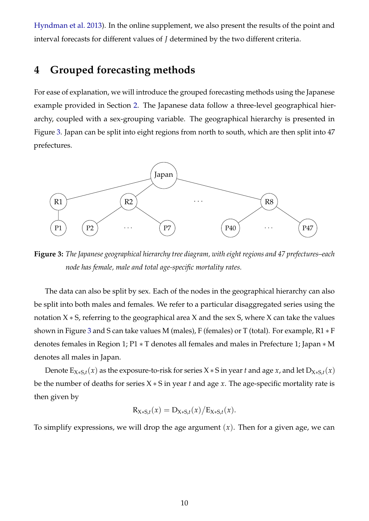[Hyndman et al.](#page-34-11) [2013\)](#page-34-11). In the online supplement, we also present the results of the point and interval forecasts for different values of *J* determined by the two different criteria.

## <span id="page-10-0"></span>**4 Grouped forecasting methods**

For ease of explanation, we will introduce the grouped forecasting methods using the Japanese example provided in Section [2.](#page-4-0) The Japanese data follow a three-level geographical hierarchy, coupled with a sex-grouping variable. The geographical hierarchy is presented in Figure [3.](#page-10-1) Japan can be split into eight regions from north to south, which are then split into 47 prefectures.

<span id="page-10-1"></span>

**Figure 3:** *The Japanese geographical hierarchy tree diagram, with eight regions and 47 prefectures–each node has female, male and total age-specific mortality rates.*

The data can also be split by sex. Each of the nodes in the geographical hierarchy can also be split into both males and females. We refer to a particular disaggregated series using the notation X ∗ S, referring to the geographical area X and the sex S, where X can take the values shown in Figure [3](#page-10-1) and S can take values M (males), F (females) or T (total). For example, R1 ∗ F denotes females in Region 1; P1 ∗ T denotes all females and males in Prefecture 1; Japan ∗ M denotes all males in Japan.

Denote  $E_{X*S,t}(x)$  as the exposure-to-risk for series  $X*S$  in year *t* and age *x*, and let  $D_{X*S,t}(x)$ be the number of deaths for series X ∗ S in year *t* and age *x*. The age-specific mortality rate is then given by

$$
R_{X*S,t}(x) = D_{X*S,t}(x)/E_{X*S,t}(x).
$$

To simplify expressions, we will drop the age argument  $(x)$ . Then for a given age, we can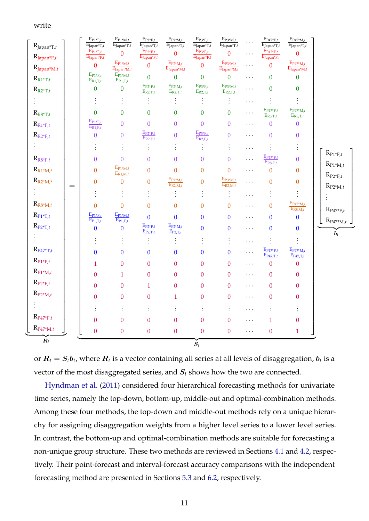#### write

| $\mathbf{R}_{\text{Japan}*T,t}$          |     | $\mathbf{E}_{\underline{\mathbf{P1^*F},t}}$<br>$\overline{\mathrm{E}_{\mathrm{Japan}^* \mathrm{T},t}}$                             | $\mathrm{E}_{\mathrm{P1^{*}M},t}$<br>$\overline{\mathrm{E}_{\mathrm{Japan}^*\mathrm{T},t}}$ | $\mathbf{E}_{\text{P2*F},t}$<br>$\overline{\mathrm{E}_{\mathrm{Japan}^*T,t}}$          | $\mathbf{E}_{\text{P2}^*\text{M},t}$<br>$\overline{\mathrm{E}_{\mathrm{Japan}^*T,t}}$ | $\mathrm{E}_{\mathrm{P3}^*\mathrm{F},t}$<br>$\overline{\mathrm{E}_{\mathrm{Japan}^*T,t}}$ | $\mathbf{E}_{\text{P3}^*\text{M},t}$<br>$\overline{\mathrm{E}_{\mathrm{Japan}^*T,t}}$ | .         | $\mathrm{E}_{\underline{\mathrm{P47^*F},t}}$<br>$\overline{\mathrm{E}_{\mathrm{Japan}^*T,t}}$ | $E_{P47^*M,t}$<br>$E_{Japan*T,t}$                                      |                                                                                |
|------------------------------------------|-----|------------------------------------------------------------------------------------------------------------------------------------|---------------------------------------------------------------------------------------------|----------------------------------------------------------------------------------------|---------------------------------------------------------------------------------------|-------------------------------------------------------------------------------------------|---------------------------------------------------------------------------------------|-----------|-----------------------------------------------------------------------------------------------|------------------------------------------------------------------------|--------------------------------------------------------------------------------|
| $R_{Japan*F,t}$                          |     | $E_{P1*F,t}$<br>$\overline{\mathrm{E}}_{\mathrm{Japan}^* \mathrm{F}, t}$                                                           | $\overline{0}$                                                                              | $E_{P2*F,t}$<br>$\overline{\mathrm{E}_{\mathrm{Japan}^*F,t}}$                          | $\mathbf{0}$                                                                          | $E_{P3*F,t}$<br>$E_{Japan*F,t}$                                                           | $\overline{0}$                                                                        | .         | $E_{P47*F,t}$<br>$E_{Japan*F,t}$                                                              | $\mathbf{0}$                                                           |                                                                                |
| $R_{Japan^*M,t}$                         |     | $\mathbf{0}$                                                                                                                       | $E_{P1^*M,t}$<br>$E_{Japan^*M,t}$                                                           | $\mathbf{0}$                                                                           | $E_{P2^*M,t}$<br>$E_{Japan^*M,t}$                                                     | $\mathbf{0}$                                                                              | $E_{P3^*M,t}$<br>$E_{Japan^*M,t}$                                                     | .         | $\overline{0}$                                                                                | $E_{P47^*M,t}$<br>$E_{Japan^*M,t}$                                     |                                                                                |
| $\mathbf{R}_{\text{R}1^*\text{T},t}$     |     | $\mathbf{E}_{\underline{\mathbf{P}}\underline{\mathbf{1}}^*\underline{\mathbf{F}},t}$<br>$\overline{\mathrm{E}_{\mathrm{R1,T},t}}$ | $E_{P1^*M,t}$<br>$E_{R1,T,t}$                                                               | $\mathbf{0}$                                                                           | $\mathbf{0}$                                                                          | $\boldsymbol{0}$                                                                          | $\overline{0}$                                                                        | $\cdots$  | $\boldsymbol{0}$                                                                              | $\boldsymbol{0}$                                                       |                                                                                |
| $R_{R2^*T,t}$                            |     | $\boldsymbol{0}$                                                                                                                   | $\boldsymbol{0}$                                                                            | $\frac{\mathrm{E}_{\mathrm{P2^*F},t}}{\mathrm{E}_{\mathrm{R2,T},t}}$                   | $E_{P2^*M,t}$<br>$E_{R2,T,t}$                                                         | $E_{P3*F,t}$<br>$E_{R2,T,t}$                                                              | $E_{P3^*M,t}$<br>$E_{R2,T,t}$                                                         | .         | $\overline{0}$                                                                                | $\boldsymbol{0}$                                                       |                                                                                |
| $\vdots$                                 |     | $\vdots$                                                                                                                           | $\vdots$                                                                                    | $\vdots$                                                                               | $\vdots$                                                                              | $\vdots$                                                                                  | $\vdots$                                                                              | .         | $\vdots$                                                                                      | $\vdots$                                                               |                                                                                |
| $\mathbf{R}_{\textrm{R8}^*\textrm{T},t}$ |     | $\mathbf{0}$                                                                                                                       | $\boldsymbol{0}$                                                                            | $\boldsymbol{0}$                                                                       | $\boldsymbol{0}$                                                                      | $\boldsymbol{0}$                                                                          | $\overline{0}$                                                                        | $\cdots$  | $\mathrm{E}_{\underline{\mathrm{P47^*F},t}}$<br>$E_{R8,T,t}$                                  | $E_{P47^*M,t}$<br>$E_{R8,T,t}$                                         |                                                                                |
| $\mathrm{R}_{\mathrm{R1}^*\mathrm{F},t}$ |     | $\mathbf{E}_{\text{P1}^*\text{F},t}$<br>$\overline{\mathrm{E_{R1,F,t}}}$                                                           | $\overline{0}$                                                                              | $\mathbf{0}$                                                                           | $\boldsymbol{0}$                                                                      | $\mathbf{0}$                                                                              | $\boldsymbol{0}$                                                                      | $\ddotsc$ | $\overline{0}$                                                                                | $\boldsymbol{0}$                                                       |                                                                                |
| $\mathrm{R}_{\mathrm{R2}^*\mathrm{F},t}$ |     | $\boldsymbol{0}$                                                                                                                   | $\boldsymbol{0}$                                                                            | $\frac{\mathrm{E}_{\mathrm{P2}^*\mathrm{F},t}}{\mathrm{E}_{\mathrm{R2},\mathrm{F},t}}$ | $\mathbf{0}$                                                                          | $\frac{\mathrm{E}_{\mathrm{P3^*F},t}}{\mathrm{E}_{\mathrm{R2},\mathrm{F},t}}$             | $\overline{0}$                                                                        | $\ddotsc$ | $\boldsymbol{0}$                                                                              | $\boldsymbol{0}$                                                       |                                                                                |
| $\ddot{\ddot{\cdot}}$                    |     | $\vdots$                                                                                                                           | $\vdots$                                                                                    | $\vdots$                                                                               | $\vdots$                                                                              | $\vdots$                                                                                  | $\vdots$                                                                              | .         | $\vdots$                                                                                      | $\vdots$                                                               |                                                                                |
| $R_{R8*F,t}$                             |     | $\mathbf{0}$                                                                                                                       | $\mathbf{0}$                                                                                | $\mathbf{0}$                                                                           | $\boldsymbol{0}$                                                                      | $\boldsymbol{0}$                                                                          | $\overline{0}$                                                                        | .         | $\frac{\mathrm{E}_{\mathrm{P47^*F},t}}{\mathrm{E}_{\mathrm{R8,F},t}}$                         | $\overline{0}$                                                         | $\mathrm{R}_{\text{P1}^\ast\mathrm{F},t}$<br>$\mathrm{R}_{\mathrm{P1^{*}M},t}$ |
| $\mathrm{R}_{\mathrm{R1}^*\mathrm{M},t}$ |     | $\mathbf{0}$                                                                                                                       | $E_{P1^*M,t}$<br>$E_{R1,M,t}$                                                               | $\overline{0}$                                                                         | $\overline{0}$                                                                        | $\boldsymbol{0}$                                                                          | $\overline{0}$                                                                        | .         | $\overline{0}$                                                                                | $\boldsymbol{0}$                                                       | $\mathrm{R}_{\mathrm{P2^*F},t}$                                                |
| $\mathbf{R}_{\text{R2}^*\text{M},t}$     | $=$ | $\boldsymbol{0}$                                                                                                                   | $\mathbf{0}$                                                                                | $\boldsymbol{0}$                                                                       | $\frac{\mathrm{E_{P2^*M},}t}{\mathrm{E_{R2,M,t}}}$                                    | $\boldsymbol{0}$                                                                          | $\frac{\mathrm{E_{P3^*M,}t}}{\mathrm{E_{R2,M,t}}}$                                    | .         | $\overline{0}$                                                                                | $\boldsymbol{0}$                                                       | $\mathrm{R}_{\mathrm{P2^*M},t}$                                                |
| $\vdots$                                 |     | $\vdots$                                                                                                                           | $\vdots$                                                                                    | $\vdots$                                                                               | $\vdots$                                                                              | $\vdots$                                                                                  | $\vdots$                                                                              | .         | $\vdots$                                                                                      | $\vdots$                                                               |                                                                                |
| ${\rm R}_{\rm R8^*M,t}$                  |     | $\overline{0}$                                                                                                                     | $\mathbf{0}$                                                                                | $\overline{0}$                                                                         | $\boldsymbol{0}$                                                                      | $\mathbf{0}$                                                                              | $\overline{0}$                                                                        | $\cdots$  | $\overline{0}$                                                                                | $\frac{\mathrm{E}_{\mathrm{P47^*M},t}}{\mathrm{E}_{\mathrm{R8,M},t}}$  | $\mathrm{R}_{\text{P47}^*\text{F},t}$                                          |
| $\mathrm{R}_{\mathrm{P1}^*\mathrm{T},t}$ |     | $\underline{\mathrm{E}_{\mathrm{P1}^*\mathrm{F},t}}$<br>$E_{P1,T,t}$                                                               | $\frac{\mathrm{E_{P1^{*}M,}t}}{\mathrm{E_{P1,T,t}}}$                                        | $\mathbf{0}$                                                                           | $\mathbf{0}$                                                                          | $\mathbf{0}$                                                                              | $\boldsymbol{0}$                                                                      | $\cdots$  | $\boldsymbol{0}$                                                                              | $\bf{0}$                                                               | $R_{P47^*M,t}$                                                                 |
| $\mathrm{R}_{\mathrm{P2}^*\mathrm{T},t}$ |     | $\mathbf{0}$                                                                                                                       | $\bf{0}$                                                                                    | $E_{P2*F,t}$<br>$E_{P2,T,t}$                                                           | $E_{P2^*M,t}$<br>$E_{P2,T,t}$                                                         | $\mathbf{0}$                                                                              | $\mathbf{0}$                                                                          | $\cdots$  | $\mathbf{0}$                                                                                  | $\pmb{0}$                                                              | $\dot{b}_t$                                                                    |
| $\vdots$                                 |     | $\vdots$                                                                                                                           | $\vdots$                                                                                    | $\vdots$                                                                               | $\vdots$                                                                              | $\vdots$                                                                                  | $\vdots$                                                                              | .         | $\vdots$                                                                                      | $\vdots$                                                               |                                                                                |
| $\mathrm{R}_{\mathrm{P47^*T},t}$         |     | $\mathbf{0}$                                                                                                                       | $\bf{0}$                                                                                    | $\mathbf{0}$                                                                           | $\mathbf{0}$                                                                          | $\boldsymbol{0}$                                                                          | $\boldsymbol{0}$                                                                      | .         | $\frac{\mathrm{E}_{\mathrm{P47^*F},t}}{\mathrm{E}_{\mathrm{P47,T},t}}$                        | $\frac{\mathrm{E}_{\mathrm{P47^*M},t}}{\mathrm{E}_{\mathrm{P47,T},t}}$ |                                                                                |
| $\mathrm{R}_{\mathrm{P1}^*\mathrm{F},t}$ |     | $\mathbf{1}$                                                                                                                       | $\mathbf{0}$                                                                                | $\boldsymbol{0}$                                                                       | $\boldsymbol{0}$                                                                      | $\boldsymbol{0}$                                                                          | $\overline{0}$                                                                        | $\cdots$  | $\boldsymbol{0}$                                                                              | $\boldsymbol{0}$                                                       |                                                                                |
| $\mathrm{R}_{\mathrm{P1^{*}M},t}$        |     | $\overline{0}$                                                                                                                     | $\mathbf{1}$                                                                                | $\boldsymbol{0}$                                                                       | $\boldsymbol{0}$                                                                      | $\boldsymbol{0}$                                                                          | $\boldsymbol{0}$                                                                      | $\cdots$  | $\boldsymbol{0}$                                                                              | $\boldsymbol{0}$                                                       |                                                                                |
| $\mathrm{R}_{\mathrm{P2^*F},t}$          |     | $\overline{0}$                                                                                                                     | $\boldsymbol{0}$                                                                            | $\mathbf{1}$                                                                           | $\boldsymbol{0}$                                                                      | $\boldsymbol{0}$                                                                          | $\boldsymbol{0}$                                                                      | $\cdots$  | $\boldsymbol{0}$                                                                              | $\boldsymbol{0}$                                                       |                                                                                |
| $\mathrm{R}_{\mathrm{P2^*M},t}$          |     | $\mathbf{0}$                                                                                                                       | $\boldsymbol{0}$                                                                            | $\boldsymbol{0}$                                                                       | $\mathbf{1}$                                                                          | $\boldsymbol{0}$                                                                          | $\overline{0}$                                                                        | .         | $\boldsymbol{0}$                                                                              | $\boldsymbol{0}$                                                       |                                                                                |
| ŧ.                                       |     | $\vdots$                                                                                                                           |                                                                                             | ÷                                                                                      |                                                                                       |                                                                                           | $\vdots$                                                                              | .         | $\ddot{\cdot}$                                                                                | $\vdots$                                                               |                                                                                |
| $\mathrm{R}_{\mathrm{P47^*F},t}$         |     | $\mathbf{0}$                                                                                                                       | $\boldsymbol{0}$                                                                            | $\boldsymbol{0}$                                                                       | $\boldsymbol{0}$                                                                      | $\boldsymbol{0}$                                                                          | $\boldsymbol{0}$                                                                      | $\cdots$  | $\mathbf{1}$                                                                                  | $\boldsymbol{0}$                                                       |                                                                                |
| $\mathrm{R}_{\mathrm{P47^*M},t}$         |     | $\boldsymbol{0}$                                                                                                                   | $\boldsymbol{0}$                                                                            | $\boldsymbol{0}$                                                                       | $\boldsymbol{0}$                                                                      | $\boldsymbol{0}$                                                                          | $\boldsymbol{0}$                                                                      | $\cdots$  | $\boldsymbol{0}$                                                                              | $\mathbf{1}$                                                           |                                                                                |
| $\dot{\boldsymbol{R}_t}$                 |     |                                                                                                                                    |                                                                                             |                                                                                        |                                                                                       | $\dot{S}_t$                                                                               |                                                                                       |           |                                                                                               |                                                                        |                                                                                |

or  $\bm{R}_t = \bm{S}_t\bm{b}_t$ , where  $\bm{R}_t$  is a vector containing all series at all levels of disaggregation,  $\bm{b}_t$  is a vector of the most disaggregated series, and S*<sup>t</sup>* shows how the two are connected.

[Hyndman et al.](#page-34-4) [\(2011\)](#page-34-4) considered four hierarchical forecasting methods for univariate time series, namely the top-down, bottom-up, middle-out and optimal-combination methods. Among these four methods, the top-down and middle-out methods rely on a unique hierarchy for assigning disaggregation weights from a higher level series to a lower level series. In contrast, the bottom-up and optimal-combination methods are suitable for forecasting a non-unique group structure. These two methods are reviewed in Sections [4.1](#page-12-0) and [4.2,](#page-12-1) respectively. Their point-forecast and interval-forecast accuracy comparisons with the independent forecasting method are presented in Sections [5.3](#page-19-0) and [6.2,](#page-23-0) respectively.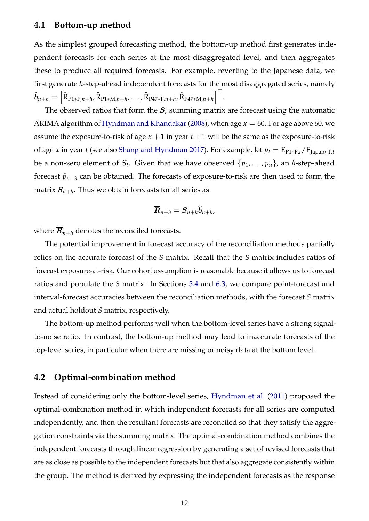#### <span id="page-12-0"></span>**4.1 Bottom-up method**

As the simplest grouped forecasting method, the bottom-up method first generates independent forecasts for each series at the most disaggregated level, and then aggregates these to produce all required forecasts. For example, reverting to the Japanese data, we first generate *h*-step-ahead independent forecasts for the most disaggregated series, namely  $\widehat{\bm{b}}_{n+h} = \Big[\widehat{\bm{\mathrm{R}}}_{\text{P1} * \text{F}, n+h}$ ,  $\widehat{\bm{\mathrm{R}}}_{\text{P1} * \text{M}, n+h}$ ,  $\ldots$ ,  $\widehat{\bm{\mathrm{R}}}_{\text{P47} * \text{F}, n+h}$ ,  $\widehat{\bm{\mathrm{R}}}_{\text{P47} * \text{M}, n+h} \Big]^{\top}$ .

The observed ratios that form the  $S_t$  summing matrix are forecast using the automatic ARIMA algorithm of [Hyndman and Khandakar](#page-34-10) [\(2008\)](#page-34-10), when age  $x = 60$ . For age above 60, we assume the exposure-to-risk of age  $x + 1$  in year  $t + 1$  will be the same as the exposure-to-risk of age *x* in year *t* (see also [Shang and Hyndman](#page-35-0) [2017\)](#page-35-0). For example, let  $p_t = E_{P1*Et}/E_{Iapan*T,t}$ be a non-zero element of  $S_t$ . Given that we have observed  $\{p_1,\ldots,p_n\}$ , an *h*-step-ahead forecast  $\hat{p}_{n+h}$  can be obtained. The forecasts of exposure-to-risk are then used to form the matrix  $S_{n+h}$ . Thus we obtain forecasts for all series as

$$
\overline{\boldsymbol{R}}_{n+h} = \boldsymbol{S}_{n+h} \widehat{\boldsymbol{b}}_{n+h},
$$

where  $\overline{R}_{n+h}$  denotes the reconciled forecasts.

The potential improvement in forecast accuracy of the reconciliation methods partially relies on the accurate forecast of the *S* matrix. Recall that the *S* matrix includes ratios of forecast exposure-at-risk. Our cohort assumption is reasonable because it allows us to forecast ratios and populate the *S* matrix. In Sections [5.4](#page-21-0) and [6.3,](#page-25-0) we compare point-forecast and interval-forecast accuracies between the reconciliation methods, with the forecast *S* matrix and actual holdout *S* matrix, respectively.

The bottom-up method performs well when the bottom-level series have a strong signalto-noise ratio. In contrast, the bottom-up method may lead to inaccurate forecasts of the top-level series, in particular when there are missing or noisy data at the bottom level.

### <span id="page-12-1"></span>**4.2 Optimal-combination method**

Instead of considering only the bottom-level series, [Hyndman et al.](#page-34-4) [\(2011\)](#page-34-4) proposed the optimal-combination method in which independent forecasts for all series are computed independently, and then the resultant forecasts are reconciled so that they satisfy the aggregation constraints via the summing matrix. The optimal-combination method combines the independent forecasts through linear regression by generating a set of revised forecasts that are as close as possible to the independent forecasts but that also aggregate consistently within the group. The method is derived by expressing the independent forecasts as the response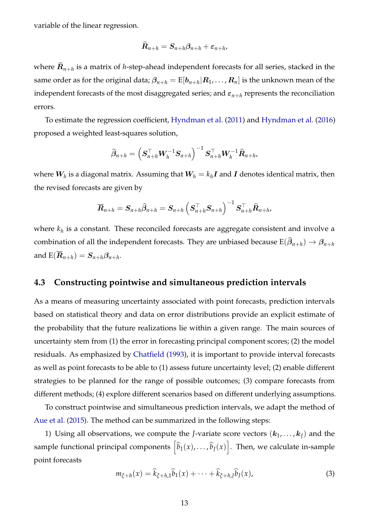variable of the linear regression.

$$
\mathbf{R}_{n+h} = \mathbf{S}_{n+h} \boldsymbol{\beta}_{n+h} + \boldsymbol{\varepsilon}_{n+h},
$$

where  $\boldsymbol{R}_{n+h}$  is a matrix of *h-*step-ahead independent forecasts for all series, stacked in the same order as for the original data;  $\beta_{n+h}={\rm E}[b_{n+h}|R_1,\ldots,R_n]$  is the unknown mean of the independent forecasts of the most disaggregated series; and  $\varepsilon_{n+h}$  represents the reconciliation errors.

To estimate the regression coefficient, [Hyndman et al.](#page-34-4) [\(2011\)](#page-34-4) and [Hyndman et al.](#page-34-12) [\(2016\)](#page-34-12) proposed a weighted least-squares solution,

$$
\widehat{\beta}_{n+h} = \left(\boldsymbol{S}_{n+h}^{\top} \boldsymbol{W}_h^{-1} \boldsymbol{S}_{n+h}\right)^{-1} \boldsymbol{S}_{n+h}^{\top} \boldsymbol{W}_h^{-1} \widehat{\boldsymbol{R}}_{n+h},
$$

where  $\boldsymbol{W_h}$  is a diagonal matrix. Assuming that  $\boldsymbol{W_h} = k_h \boldsymbol{I}$  and  $\boldsymbol{I}$  denotes identical matrix, then the revised forecasts are given by

$$
\overline{\bm{R}}_{n+h} = \bm{S}_{n+h}\widehat{\bm{\beta}}_{n+h} = \bm{S}_{n+h}\left(\bm{S}_{n+h}^{\top}\bm{S}_{n+h}\right)^{-1}\bm{S}_{n+h}^{\top}\widehat{\bm{R}}_{n+h}.
$$

where *k<sup>h</sup>* is a constant. These reconciled forecasts are aggregate consistent and involve a combination of all the independent forecasts. They are unbiased because  $\text{E}(\hat{\bm{\beta}}_{n+h}) \rightarrow \bm{\beta}_{n+h}$ and  $\text{E}(\overline{\bm{R}}_{n+h})=\bm{S}_{n+h}\bm{\beta}_{n+h}.$ 

### **4.3 Constructing pointwise and simultaneous prediction intervals**

As a means of measuring uncertainty associated with point forecasts, prediction intervals based on statistical theory and data on error distributions provide an explicit estimate of the probability that the future realizations lie within a given range. The main sources of uncertainty stem from (1) the error in forecasting principal component scores; (2) the model residuals. As emphasized by [Chatfield](#page-33-6) [\(1993\)](#page-33-6), it is important to provide interval forecasts as well as point forecasts to be able to (1) assess future uncertainty level; (2) enable different strategies to be planned for the range of possible outcomes; (3) compare forecasts from different methods; (4) explore different scenarios based on different underlying assumptions.

To construct pointwise and simultaneous prediction intervals, we adapt the method of [Aue et al.](#page-32-7) [\(2015\)](#page-32-7). The method can be summarized in the following steps:

1) Using all observations, we compute the *J*-variate score vectors  $(k_1, \ldots, k_l)$  and the sample functional principal components  $\left[\widehat{b}_1(x), \ldots, \widehat{b}_J(x)\right]$ . Then, we calculate in-sample point forecasts

$$
m_{\xi+h}(x) = \hat{k}_{\xi+h,1}\hat{b}_1(x) + \cdots + \hat{k}_{\xi+h,J}\hat{b}_J(x),
$$
\n(3)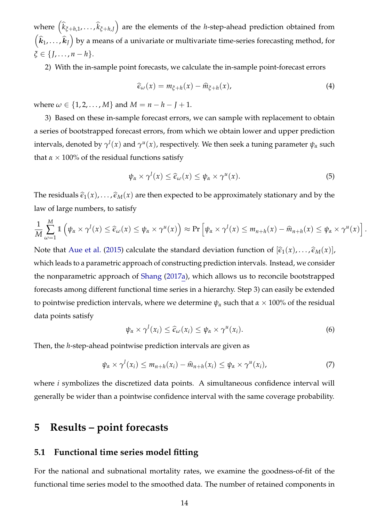$where \left(\widehat{k}_{\xi+h,1}, \ldots, \widehat{k}_{\xi+h,J}\right)$  are the elements of the *h*-step-ahead prediction obtained from  $(\widehat{k}_1,\ldots,\widehat{k}_J\big)$  by a means of a univariate or multivariate time-series forecasting method, for *ξ* ∈ {*J*, . . . , *n* − *h*}.

2) With the in-sample point forecasts, we calculate the in-sample point-forecast errors

$$
\widehat{\epsilon}_{\omega}(x) = m_{\xi + h}(x) - \widehat{m}_{\xi + h}(x), \tag{4}
$$

where  $\omega \in \{1, 2, ..., M\}$  and  $M = n - h - J + 1$ .

3) Based on these in-sample forecast errors, we can sample with replacement to obtain a series of bootstrapped forecast errors, from which we obtain lower and upper prediction intervals, denoted by  $\gamma^l(x)$  and  $\gamma^u(x)$ , respectively. We then seek a tuning parameter  $\psi_\alpha$  such that  $\alpha \times 100\%$  of the residual functions satisfy

$$
\psi_{\alpha} \times \gamma^{l}(x) \leq \widehat{\epsilon}_{\omega}(x) \leq \psi_{\alpha} \times \gamma^{u}(x). \tag{5}
$$

The residuals  $\hat{\epsilon}_1(x), \ldots, \hat{\epsilon}_M(x)$  are then expected to be approximately stationary and by the law of large numbers, to satisfy

$$
\frac{1}{M}\sum_{\omega=1}^M \mathbb{1}\left(\psi_\alpha \times \gamma^l(x) \leq \widehat{\epsilon}_\omega(x) \leq \psi_\alpha \times \gamma^u(x)\right) \approx \Pr\left[\psi_\alpha \times \gamma^l(x) \leq m_{n+h}(x) - \widehat{m}_{n+h}(x) \leq \psi_\alpha \times \gamma^u(x)\right].
$$

Note that [Aue et al.](#page-32-7) [\(2015\)](#page-32-7) calculate the standard deviation function of  $[\hat{\epsilon}_1(x), \dots, \hat{\epsilon}_M(x)]$ , which leads to a parametric approach of constructing prediction intervals. Instead, we consider the nonparametric approach of [Shang](#page-35-9) [\(2017a\)](#page-35-9), which allows us to reconcile bootstrapped forecasts among different functional time series in a hierarchy. Step 3) can easily be extended to pointwise prediction intervals, where we determine  $\psi_\alpha$  such that  $\alpha \times 100\%$  of the residual data points satisfy

$$
\psi_{\alpha} \times \gamma^{l}(x_{i}) \leq \widehat{\epsilon}_{\omega}(x_{i}) \leq \psi_{\alpha} \times \gamma^{u}(x_{i}). \tag{6}
$$

Then, the *h*-step-ahead pointwise prediction intervals are given as

$$
\psi_{\alpha} \times \gamma^{l}(x_{i}) \leq m_{n+h}(x_{i}) - \widehat{m}_{n+h}(x_{i}) \leq \psi_{\alpha} \times \gamma^{u}(x_{i}), \qquad (7)
$$

where *i* symbolizes the discretized data points. A simultaneous confidence interval will generally be wider than a pointwise confidence interval with the same coverage probability.

# **5 Results – point forecasts**

### **5.1 Functional time series model fitting**

For the national and subnational mortality rates, we examine the goodness-of-fit of the functional time series model to the smoothed data. The number of retained components in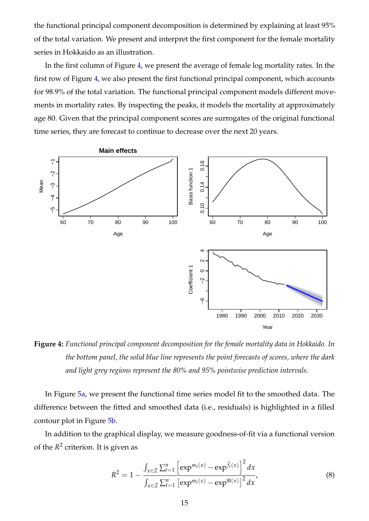the functional principal component decomposition is determined by explaining at least 95% of the total variation. We present and interpret the first component for the female mortality series in Hokkaido as an illustration.

In the first column of Figure [4,](#page-15-0) we present the average of female log mortality rates. In the first row of Figure [4,](#page-15-0) we also present the first functional principal component, which accounts for 98.9% of the total variation. The functional principal component models different movements in mortality rates. By inspecting the peaks, it models the mortality at approximately age 80. Given that the principal component scores are surrogates of the original functional time series, they are forecast to continue to decrease over the next 20 years.

<span id="page-15-0"></span>

**Figure 4:** *Functional principal component decomposition for the female mortality data in Hokkaido. In the bottom panel, the solid blue line represents the point forecasts of scores, where the dark and light grey regions represent the 80% and 95% pointwise prediction intervals.*

In Figure [5a,](#page-16-0) we present the functional time series model fit to the smoothed data. The difference between the fitted and smoothed data (i.e., residuals) is highlighted in a filled contour plot in Figure [5b.](#page-16-1)

In addition to the graphical display, we measure goodness-of-fit via a functional version of the *R* 2 criterion. It is given as

<span id="page-15-1"></span>
$$
R^{2} = 1 - \frac{\int_{x \in \mathcal{I}} \sum_{t=1}^{n} \left[ \exp^{m_{t}(x)} - \exp^{\widehat{f}_{t}(x)} \right]^{2} dx}{\int_{x \in \mathcal{I}} \sum_{t=1}^{n} \left[ \exp^{m_{t}(x)} - \exp^{\overline{m}(x)} \right]^{2} dx},
$$
(8)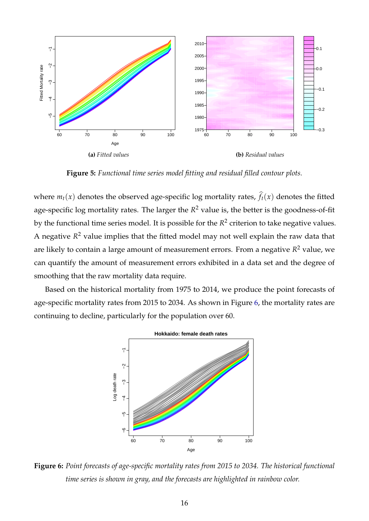<span id="page-16-0"></span>

<span id="page-16-1"></span>**Figure 5:** *Functional time series model fitting and residual filled contour plots.*

where  $m_t(x)$  denotes the observed age-specific log mortality rates,  $\hat{f}_t(x)$  denotes the fitted age-specific log mortality rates. The larger the *R* <sup>2</sup> value is, the better is the goodness-of-fit by the functional time series model. It is possible for the  $R^2$  criterion to take negative values. A negative *R* <sup>2</sup> value implies that the fitted model may not well explain the raw data that are likely to contain a large amount of measurement errors. From a negative *R* <sup>2</sup> value, we can quantify the amount of measurement errors exhibited in a data set and the degree of smoothing that the raw mortality data require.

<span id="page-16-2"></span>Based on the historical mortality from 1975 to 2014, we produce the point forecasts of age-specific mortality rates from 2015 to 2034. As shown in Figure [6,](#page-16-2) the mortality rates are continuing to decline, particularly for the population over 60.



**Figure 6:** *Point forecasts of age-specific mortality rates from 2015 to 2034. The historical functional time series is shown in gray, and the forecasts are highlighted in rainbow color.*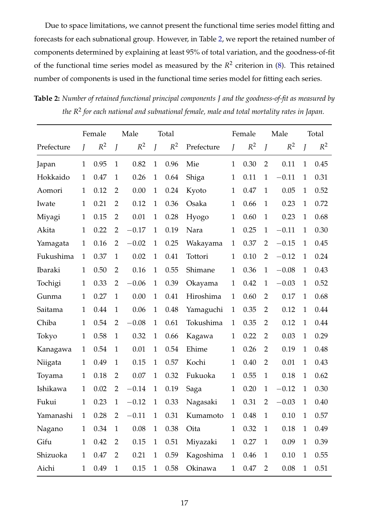Due to space limitations, we cannot present the functional time series model fitting and forecasts for each subnational group. However, in Table [2,](#page-17-0) we report the retained number of components determined by explaining at least 95% of total variation, and the goodness-of-fit of the functional time series model as measured by the  $R^2$  criterion in  $(8)$ . This retained number of components is used in the functional time series model for fitting each series.

<span id="page-17-0"></span>**Table 2:** *Number of retained functional principal components J and the goodness-of-fit as measured by the R*<sup>2</sup> *for each national and subnational female, male and total mortality rates in Japan.*

|            |              | Female |                | Male     |                | Total    |            |                | Female |                | Male    |              | Total |
|------------|--------------|--------|----------------|----------|----------------|----------|------------|----------------|--------|----------------|---------|--------------|-------|
| Prefecture | J            | $R^2$  | J              | $R^2$    | $\overline{J}$ | $R^2$    | Prefecture | $\overline{J}$ | $R^2$  | J              | $R^2$   | J            | $R^2$ |
| Japan      | 1            | 0.95   | $\mathbf{1}$   | 0.82     | $\mathbf{1}$   | 0.96     | Mie        | $\mathbf{1}$   | 0.30   | $\overline{2}$ | 0.11    | $\mathbf{1}$ | 0.45  |
| Hokkaido   | $\mathbf{1}$ | 0.47   | $\mathbf{1}$   | 0.26     | $\mathbf{1}$   | 0.64     | Shiga      | $\mathbf{1}$   | 0.11   | $\mathbf{1}$   | $-0.11$ | $\mathbf{1}$ | 0.31  |
| Aomori     | 1            | 0.12   | $\overline{2}$ | 0.00     | $\mathbf{1}$   | 0.24     | Kyoto      | $\mathbf{1}$   | 0.47   | $\mathbf{1}$   | 0.05    | $\mathbf{1}$ | 0.52  |
| Iwate      | 1            | 0.21   | $\overline{2}$ | 0.12     | $\mathbf{1}$   | 0.36     | Osaka      | $\mathbf{1}$   | 0.66   | $\mathbf{1}$   | 0.23    | $\mathbf{1}$ | 0.72  |
| Miyagi     | 1            | 0.15   | $\overline{2}$ | 0.01     | $\mathbf{1}$   | 0.28     | Hyogo      | $\mathbf{1}$   | 0.60   | $\mathbf{1}$   | 0.23    | $\mathbf{1}$ | 0.68  |
| Akita      | 1            | 0.22   | $\overline{2}$ | $-0.17$  | $\mathbf{1}$   | 0.19     | Nara       | $\mathbf{1}$   | 0.25   | $\mathbf{1}$   | $-0.11$ | $\mathbf{1}$ | 0.30  |
| Yamagata   | 1            | 0.16   | $\overline{2}$ | $-0.02$  | $\mathbf{1}$   | 0.25     | Wakayama   | $\mathbf{1}$   | 0.37   | 2              | $-0.15$ | $\mathbf{1}$ | 0.45  |
| Fukushima  | $\mathbf{1}$ | 0.37   | $\mathbf{1}$   | 0.02     | $\mathbf{1}$   | 0.41     | Tottori    | $\mathbf{1}$   | 0.10   | 2              | $-0.12$ | $\mathbf{1}$ | 0.24  |
| Ibaraki    | $\mathbf{1}$ | 0.50   | $\overline{2}$ | 0.16     | $\mathbf{1}$   | 0.55     | Shimane    | $\mathbf{1}$   | 0.36   | $\mathbf{1}$   | $-0.08$ | $\mathbf{1}$ | 0.43  |
| Tochigi    | 1            | 0.33   | $\overline{2}$ | $-0.06$  | $\mathbf{1}$   | 0.39     | Okayama    | 1              | 0.42   | $\mathbf{1}$   | $-0.03$ | $\mathbf{1}$ | 0.52  |
| Gunma      | $\mathbf{1}$ | 0.27   | $\mathbf{1}$   | 0.00     | $\mathbf{1}$   | 0.41     | Hiroshima  | $\mathbf{1}$   | 0.60   | $\overline{2}$ | 0.17    | $\mathbf{1}$ | 0.68  |
| Saitama    | 1            | 0.44   | $\mathbf{1}$   | 0.06     | $\mathbf{1}$   | 0.48     | Yamaguchi  | $\mathbf{1}$   | 0.35   | $\overline{2}$ | 0.12    | $\mathbf{1}$ | 0.44  |
| Chiba      | $\mathbf{1}$ | 0.54   | $\overline{2}$ | $-0.08$  | $\mathbf{1}$   | 0.61     | Tokushima  | $\mathbf{1}$   | 0.35   | $\overline{2}$ | 0.12    | $\mathbf{1}$ | 0.44  |
| Tokyo      | 1            | 0.58   | $\mathbf{1}$   | 0.32     | $\mathbf{1}$   | 0.66     | Kagawa     | 1              | 0.22   | $\overline{2}$ | 0.03    | $\mathbf{1}$ | 0.29  |
| Kanagawa   | $\mathbf{1}$ | 0.54   | $\mathbf{1}$   | 0.01     | $\mathbf{1}$   | 0.54     | Ehime      | $\mathbf{1}$   | 0.26   | $\overline{2}$ | 0.19    | $\mathbf{1}$ | 0.48  |
| Niigata    | 1            | 0.49   | $\mathbf{1}$   | 0.15     | $\mathbf{1}$   | 0.57     | Kochi      | 1              | 0.40   | $\overline{2}$ | 0.01    | $\mathbf{1}$ | 0.43  |
| Toyama     | 1            | 0.18   | $\overline{2}$ | 0.07     | $\mathbf{1}$   | 0.32     | Fukuoka    | $\mathbf{1}$   | 0.55   | 1              | 0.18    | $\mathbf{1}$ | 0.62  |
| Ishikawa   | 1            | 0.02   | $\overline{2}$ | $-0.14$  | $\mathbf{1}$   | 0.19     | Saga       | $\mathbf{1}$   | 0.20   | 1              | $-0.12$ | 1            | 0.30  |
| Fukui      | $\mathbf{1}$ | 0.23   | $\overline{1}$ | $-0.12$  | $\overline{1}$ | 0.33     | Nagasaki   | $\mathbf{1}$   | 0.31   | $\overline{2}$ | $-0.03$ | $\mathbf{1}$ | 0.40  |
| Yamanashi  | $\mathbf{1}$ | 0.28   | $\overline{2}$ | $-0.11$  | $\mathbf{1}$   | 0.31     | Kumamoto   | $\mathbf{1}$   | 0.48   | $\mathbf{1}$   | 0.10    | $\mathbf{1}$ | 0.57  |
| Nagano     | $\mathbf{1}$ | 0.34   | $\mathbf{1}$   | 0.08     | $\mathbf{1}$   | 0.38     | Oita       | $\mathbf{1}$   | 0.32   | $\mathbf{1}$   | 0.18    | $\mathbf{1}$ | 0.49  |
| Gifu       | $\mathbf{1}$ | 0.42   | $\overline{2}$ | 0.15     | $\mathbf{1}$   | $0.51\,$ | Miyazaki   | $\mathbf{1}$   | 0.27   | $\mathbf{1}$   | 0.09    | $\mathbf{1}$ | 0.39  |
| Shizuoka   | $\mathbf{1}$ | 0.47   | $\overline{2}$ | 0.21     | $\mathbf{1}$   | 0.59     | Kagoshima  | $\mathbf{1}$   | 0.46   | $\mathbf{1}$   | 0.10    | $\mathbf{1}$ | 0.55  |
| Aichi      | $\mathbf{1}$ | 0.49   | $\mathbf{1}$   | $0.15\,$ | $\mathbf{1}$   | 0.58     | Okinawa    | $\mathbf{1}$   | 0.47   | $\overline{2}$ | 0.08    | $\mathbf{1}$ | 0.51  |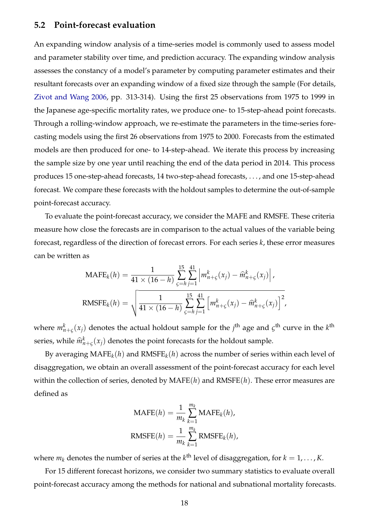### <span id="page-18-0"></span>**5.2 Point-forecast evaluation**

An expanding window analysis of a time-series model is commonly used to assess model and parameter stability over time, and prediction accuracy. The expanding window analysis assesses the constancy of a model's parameter by computing parameter estimates and their resultant forecasts over an expanding window of a fixed size through the sample (For details, [Zivot and Wang](#page-36-5) [2006,](#page-36-5) pp. 313-314). Using the first 25 observations from 1975 to 1999 in the Japanese age-specific mortality rates, we produce one- to 15-step-ahead point forecasts. Through a rolling-window approach, we re-estimate the parameters in the time-series forecasting models using the first 26 observations from 1975 to 2000. Forecasts from the estimated models are then produced for one- to 14-step-ahead. We iterate this process by increasing the sample size by one year until reaching the end of the data period in 2014. This process produces 15 one-step-ahead forecasts, 14 two-step-ahead forecasts, . . . , and one 15-step-ahead forecast. We compare these forecasts with the holdout samples to determine the out-of-sample point-forecast accuracy.

To evaluate the point-forecast accuracy, we consider the MAFE and RMSFE. These criteria measure how close the forecasts are in comparison to the actual values of the variable being forecast, regardless of the direction of forecast errors. For each series *k*, these error measures can be written as

$$
\text{MAFE}_k(h) = \frac{1}{41 \times (16 - h)} \sum_{\zeta = h}^{15} \sum_{j=1}^{41} \left| m_{n+\zeta}^k(x_j) - \widehat{m}_{n+\zeta}^k(x_j) \right|,
$$
  

$$
\text{RMSFE}_k(h) = \sqrt{\frac{1}{41 \times (16 - h)} \sum_{\zeta = h}^{15} \sum_{j=1}^{41} \left[ m_{n+\zeta}^k(x_j) - \widehat{m}_{n+\zeta}^k(x_j) \right]^2},
$$

where  $m_{n+\varsigma}^k(x_j)$  denotes the actual holdout sample for the  $j^{\text{th}}$  age and  $\varsigma^{\text{th}}$  curve in the  $k^{\text{th}}$ series, while  $\widehat{m}_{n+\varsigma}^k(x_j)$  denotes the point forecasts for the holdout sample.

By averaging  $\text{MAFE}_k(h)$  and  $\text{RMSFE}_k(h)$  across the number of series within each level of disaggregation, we obtain an overall assessment of the point-forecast accuracy for each level within the collection of series, denoted by MAFE(*h*) and RMSFE(*h*). These error measures are defined as

$$
MAFE(h) = \frac{1}{m_k} \sum_{k=1}^{m_k} MAFE_k(h),
$$
  

$$
RMSFE(h) = \frac{1}{m_k} \sum_{k=1}^{m_k} RMSFE_k(h),
$$

where  $m_k$  denotes the number of series at the  $k^\text{th}$  level of disaggregation, for  $k = 1, \ldots, K$ .

For 15 different forecast horizons, we consider two summary statistics to evaluate overall point-forecast accuracy among the methods for national and subnational mortality forecasts.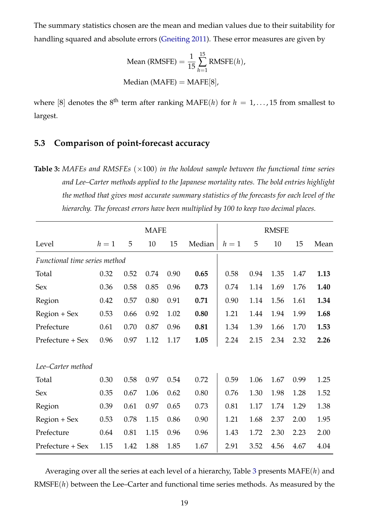The summary statistics chosen are the mean and median values due to their suitability for handling squared and absolute errors [\(Gneiting](#page-33-7) [2011\)](#page-33-7). These error measures are given by

Mean (RMSFE) = 
$$
\frac{1}{15} \sum_{h=1}^{15}
$$
 RMSFE(*h*),  
Median (MAFE) = MAFE[8],

where [8] denotes the 8<sup>th</sup> term after ranking MAFE(*h*) for  $h = 1, \ldots, 15$  from smallest to largest.

### <span id="page-19-0"></span>**5.3 Comparison of point-forecast accuracy**

<span id="page-19-1"></span>**Table 3:** MAFEs and RMSFEs ( $\times$ 100) *in the holdout sample between the functional time series and Lee–Carter methods applied to the Japanese mortality rates. The bold entries highlight the method that gives most accurate summary statistics of the forecasts for each level of the hierarchy. The forecast errors have been multiplied by 100 to keep two decimal places.*

|                               |       |      | <b>MAFE</b> |      |        |       |      | <b>RMSFE</b> |      |      |
|-------------------------------|-------|------|-------------|------|--------|-------|------|--------------|------|------|
| Level                         | $h=1$ | 5    | 10          | 15   | Median | $h=1$ | 5    | 10           | 15   | Mean |
| Functional time series method |       |      |             |      |        |       |      |              |      |      |
| Total                         | 0.32  | 0.52 | 0.74        | 0.90 | 0.65   | 0.58  | 0.94 | 1.35         | 1.47 | 1.13 |
| <b>Sex</b>                    | 0.36  | 0.58 | 0.85        | 0.96 | 0.73   | 0.74  | 1.14 | 1.69         | 1.76 | 1.40 |
| Region                        | 0.42  | 0.57 | 0.80        | 0.91 | 0.71   | 0.90  | 1.14 | 1.56         | 1.61 | 1.34 |
| Region + Sex                  | 0.53  | 0.66 | 0.92        | 1.02 | 0.80   | 1.21  | 1.44 | 1.94         | 1.99 | 1.68 |
| Prefecture                    | 0.61  | 0.70 | 0.87        | 0.96 | 0.81   | 1.34  | 1.39 | 1.66         | 1.70 | 1.53 |
| Prefecture + Sex              | 0.96  | 0.97 | 1.12        | 1.17 | 1.05   | 2.24  | 2.15 | 2.34         | 2.32 | 2.26 |
| Lee–Carter method             |       |      |             |      |        |       |      |              |      |      |
| Total                         | 0.30  | 0.58 | 0.97        | 0.54 | 0.72   | 0.59  | 1.06 | 1.67         | 0.99 | 1.25 |
| Sex                           | 0.35  | 0.67 | 1.06        | 0.62 | 0.80   | 0.76  | 1.30 | 1.98         | 1.28 | 1.52 |
| Region                        | 0.39  | 0.61 | 0.97        | 0.65 | 0.73   | 0.81  | 1.17 | 1.74         | 1.29 | 1.38 |
| $Region + Sex$                | 0.53  | 0.78 | 1.15        | 0.86 | 0.90   | 1.21  | 1.68 | 2.37         | 2.00 | 1.95 |
| Prefecture                    | 0.64  | 0.81 | 1.15        | 0.96 | 0.96   | 1.43  | 1.72 | 2.30         | 2.23 | 2.00 |
| Prefecture + Sex              | 1.15  | 1.42 | 1.88        | 1.85 | 1.67   | 2.91  | 3.52 | 4.56         | 4.67 | 4.04 |

Averaging over all the series at each level of a hierarchy, Table [3](#page-19-1) presents MAFE(*h*) and RMSFE(*h*) between the Lee–Carter and functional time series methods. As measured by the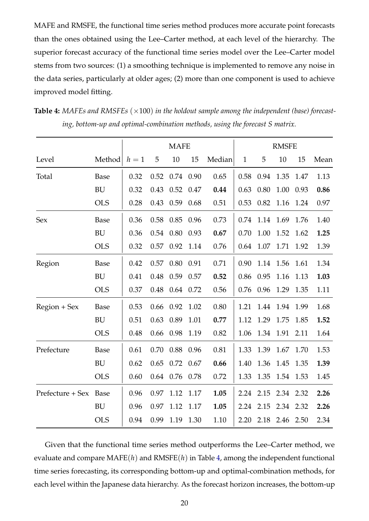MAFE and RMSFE, the functional time series method produces more accurate point forecasts than the ones obtained using the Lee–Carter method, at each level of the hierarchy. The superior forecast accuracy of the functional time series model over the Lee–Carter model stems from two sources: (1) a smoothing technique is implemented to remove any noise in the data series, particularly at older ages; (2) more than one component is used to achieve improved model fitting.

|                  |             |       |      | <b>MAFE</b> |      |        |              |      | <b>RMSFE</b> |      |      |
|------------------|-------------|-------|------|-------------|------|--------|--------------|------|--------------|------|------|
| Level            | Method      | $h=1$ | 5    | 10          | 15   | Median | $\mathbf{1}$ | 5    | 10           | 15   | Mean |
| Total            | Base        | 0.32  | 0.52 | 0.74        | 0.90 | 0.65   | 0.58         | 0.94 | 1.35         | 1.47 | 1.13 |
|                  | <b>BU</b>   | 0.32  | 0.43 | 0.52        | 0.47 | 0.44   | 0.63         | 0.80 | 1.00         | 0.93 | 0.86 |
|                  | <b>OLS</b>  | 0.28  | 0.43 | 0.59        | 0.68 | 0.51   | 0.53         | 0.82 | 1.16         | 1.24 | 0.97 |
| <b>Sex</b>       | Base        | 0.36  | 0.58 | 0.85        | 0.96 | 0.73   | 0.74         | 1.14 | 1.69         | 1.76 | 1.40 |
|                  | <b>BU</b>   | 0.36  | 0.54 | 0.80        | 0.93 | 0.67   | 0.70         | 1.00 | 1.52         | 1.62 | 1.25 |
|                  | <b>OLS</b>  | 0.32  | 0.57 | 0.92        | 1.14 | 0.76   | 0.64         | 1.07 | 1.71         | 1.92 | 1.39 |
| Region           | Base        | 0.42  | 0.57 | 0.80        | 0.91 | 0.71   | 0.90         | 1.14 | 1.56         | 1.61 | 1.34 |
|                  | <b>BU</b>   | 0.41  | 0.48 | 0.59        | 0.57 | 0.52   | 0.86         | 0.95 | 1.16         | 1.13 | 1.03 |
|                  | <b>OLS</b>  | 0.37  | 0.48 | 0.64        | 0.72 | 0.56   | 0.76         | 0.96 | 1.29         | 1.35 | 1.11 |
| Region + Sex     | Base        | 0.53  | 0.66 | 0.92        | 1.02 | 0.80   | 1.21         | 1.44 | 1.94         | 1.99 | 1.68 |
|                  | <b>BU</b>   | 0.51  | 0.63 | 0.89        | 1.01 | 0.77   | 1.12         | 1.29 | 1.75         | 1.85 | 1.52 |
|                  | <b>OLS</b>  | 0.48  | 0.66 | 0.98        | 1.19 | 0.82   | 1.06         | 1.34 | 1.91         | 2.11 | 1.64 |
| Prefecture       | <b>Base</b> | 0.61  | 0.70 | 0.88        | 0.96 | 0.81   | 1.33         | 1.39 | 1.67         | 1.70 | 1.53 |
|                  | <b>BU</b>   | 0.62  | 0.65 | 0.72        | 0.67 | 0.66   | 1.40         | 1.36 | 1.45         | 1.35 | 1.39 |
|                  | <b>OLS</b>  | 0.60  | 0.64 | 0.76        | 0.78 | 0.72   | 1.33         | 1.35 | 1.54         | 1.53 | 1.45 |
| Prefecture + Sex | Base        | 0.96  | 0.97 | 1.12        | 1.17 | 1.05   | 2.24         | 2.15 | 2.34         | 2.32 | 2.26 |
|                  | <b>BU</b>   | 0.96  | 0.97 | 1.12        | 1.17 | 1.05   | 2.24         | 2.15 | 2.34         | 2.32 | 2.26 |
|                  | <b>OLS</b>  | 0.94  | 0.99 | 1.19        | 1.30 | 1.10   | 2.20         | 2.18 | 2.46         | 2.50 | 2.34 |

<span id="page-20-0"></span>**Table 4:** MAFEs and RMSFEs ( $\times$ 100) in the holdout sample among the independent (base) forecast*ing, bottom-up and optimal-combination methods, using the forecast S matrix.*

Given that the functional time series method outperforms the Lee–Carter method, we evaluate and compare MAFE(*h*) and RMSFE(*h*) in Table [4,](#page-20-0) among the independent functional time series forecasting, its corresponding bottom-up and optimal-combination methods, for each level within the Japanese data hierarchy. As the forecast horizon increases, the bottom-up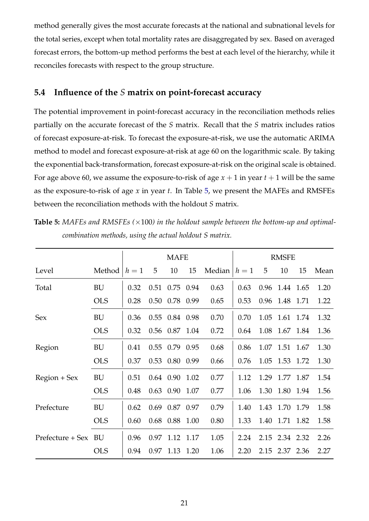method generally gives the most accurate forecasts at the national and subnational levels for the total series, except when total mortality rates are disaggregated by sex. Based on averaged forecast errors, the bottom-up method performs the best at each level of the hierarchy, while it reconciles forecasts with respect to the group structure.

### <span id="page-21-0"></span>**5.4 Influence of the** *S* **matrix on point-forecast accuracy**

The potential improvement in point-forecast accuracy in the reconciliation methods relies partially on the accurate forecast of the *S* matrix. Recall that the *S* matrix includes ratios of forecast exposure-at-risk. To forecast the exposure-at-risk, we use the automatic ARIMA method to model and forecast exposure-at-risk at age 60 on the logarithmic scale. By taking the exponential back-transformation, forecast exposure-at-risk on the original scale is obtained. For age above 60, we assume the exposure-to-risk of age  $x + 1$  in year  $t + 1$  will be the same as the exposure-to-risk of age *x* in year *t*. In Table [5,](#page-21-1) we present the MAFEs and RMSFEs between the reconciliation methods with the holdout *S* matrix.

<span id="page-21-1"></span>**Table 5:** *MAFEs and RMSFEs (*×100*) in the holdout sample between the bottom-up and optimalcombination methods, using the actual holdout S matrix.*

|                  |            |       |      | <b>MAFE</b>      |      |        |       |      | <b>RMSFE</b> |           |      |
|------------------|------------|-------|------|------------------|------|--------|-------|------|--------------|-----------|------|
| Level            | Method     | $h=1$ | 5    | 10               | 15   | Median | $h=1$ | 5    | 10           | 15        | Mean |
| Total            | BU         | 0.32  | 0.51 | 0.75 0.94        |      | 0.63   | 0.63  |      | 0.96 1.44    | 1.65      | 1.20 |
|                  | <b>OLS</b> | 0.28  | 0.50 | 0.78 0.99        |      | 0.65   | 0.53  | 0.96 | 1.48         | 1.71      | 1.22 |
| Sex              | BU         | 0.36  | 0.55 | 0.84 0.98        |      | 0.70   | 0.70  | 1.05 | 1.61         | 1.74      | 1.32 |
|                  | <b>OLS</b> | 0.32  |      | 0.56 0.87 1.04   |      | 0.72   | 0.64  |      | 1.08 1.67    | 1.84      | 1.36 |
| Region           | BU         | 0.41  |      | $0.55$ 0.79 0.95 |      | 0.68   | 0.86  |      | 1.07 1.51    | 1.67      | 1.30 |
|                  | <b>OLS</b> | 0.37  | 0.53 | 0.80             | 0.99 | 0.66   | 0.76  | 1.05 | 1.53         | 1.72      | 1.30 |
| $Region + Sex$   | BU         | 0.51  |      | $0.64$ 0.90      | 1.02 | 0.77   | 1.12  | 1.29 | 1.77 1.87    |           | 1.54 |
|                  | <b>OLS</b> | 0.48  | 0.63 | 0.90             | 1.07 | 0.77   | 1.06  | 1.30 | 1.80         | 1.94      | 1.56 |
| Prefecture       | BU         | 0.62  | 0.69 | 0.87 0.97        |      | 0.79   | 1.40  | 1.43 | 1.70         | 1.79      | 1.58 |
|                  | <b>OLS</b> | 0.60  | 0.68 | 0.88             | 1.00 | 0.80   | 1.33  | 1.40 |              | 1.71 1.82 | 1.58 |
| Prefecture + Sex | BU         | 0.96  | 0.97 | 1.12             | 1.17 | 1.05   | 2.24  | 2.15 | 2.34 2.32    |           | 2.26 |
|                  | <b>OLS</b> | 0.94  | 0.97 | 1.13             | 1.20 | 1.06   | 2.20  | 2.15 | 2.37 2.36    |           | 2.27 |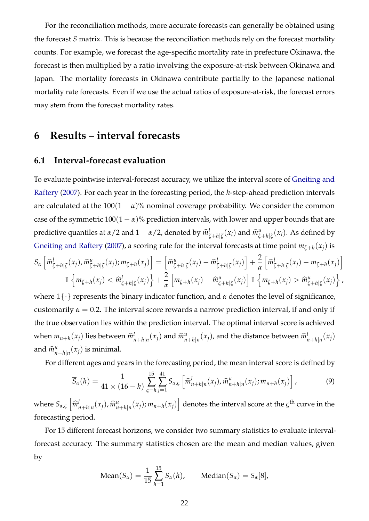For the reconciliation methods, more accurate forecasts can generally be obtained using the forecast *S* matrix. This is because the reconciliation methods rely on the forecast mortality counts. For example, we forecast the age-specific mortality rate in prefecture Okinawa, the forecast is then multiplied by a ratio involving the exposure-at-risk between Okinawa and Japan. The mortality forecasts in Okinawa contribute partially to the Japanese national mortality rate forecasts. Even if we use the actual ratios of exposure-at-risk, the forecast errors may stem from the forecast mortality rates.

## <span id="page-22-0"></span>**6 Results – interval forecasts**

### **6.1 Interval-forecast evaluation**

To evaluate pointwise interval-forecast accuracy, we utilize the interval score of [Gneiting and](#page-33-8) [Raftery](#page-33-8) [\(2007\)](#page-33-8). For each year in the forecasting period, the *h*-step-ahead prediction intervals are calculated at the  $100(1 - \alpha)$ % nominal coverage probability. We consider the common case of the symmetric  $100(1 - \alpha)$ % prediction intervals, with lower and upper bounds that are predictive quantiles at *<sup>α</sup>*/2 and 1 <sup>−</sup> *<sup>α</sup>*/2, denoted by *<sup>m</sup>*<sup>b</sup> *l*  $\frac{l}{\zeta + h|\zeta}(x_i)$  and  $\widehat{m}^u_{\zeta}$  $\int_{\zeta+h|\zeta}^{u}(x_i)$ . As defined by [Gneiting and Raftery](#page-33-8) [\(2007\)](#page-33-8), a scoring rule for the interval forecasts at time point  $m_{\zeta+h}(x_j)$  is

$$
S_{\alpha}\left[\hat{m}^{l}_{\zeta+h|\zeta}(x_{j}),\hat{m}^{u}_{\zeta+h|\zeta}(x_{j});m_{\zeta+h}(x_{j})\right] = \left[\hat{m}^{u}_{\zeta+h|\zeta}(x_{j}) - \hat{m}^{l}_{\zeta+h|\zeta}(x_{j})\right] + \frac{2}{\alpha}\left[\hat{m}^{l}_{\zeta+h|\zeta}(x_{j}) - m_{\zeta+h}(x_{j})\right] \n1\left\{m_{\zeta+h}(x_{j}) < \hat{m}^{l}_{\zeta+h|\zeta}(x_{j})\right\} + \frac{2}{\alpha}\left[m_{\zeta+h}(x_{j}) - \hat{m}^{u}_{\zeta+h|\zeta}(x_{j})\right] \mathbb{1}\left\{m_{\zeta+h}(x_{j}) > \hat{m}^{u}_{\zeta+h|\zeta}(x_{j})\right\},
$$

where 1{·} represents the binary indicator function, and *α* denotes the level of significance, customarily  $\alpha = 0.2$ . The interval score rewards a narrow prediction interval, if and only if the true observation lies within the prediction interval. The optimal interval score is achieved when  $m_{n+h}(x_j)$  lies between  $\widehat{m}_{n}^l$  $\lim_{n+h|n}(x_j)$  and  $\widehat{m}^u_n$  $\lim_{n+h|n}(x_j)$ , and the distance between  $\widehat{m}_j^l$  $\binom{l}{n+h|n}(x_j)$ and  $\widehat{m}_{n}^{\mu}$  $_{n+h|n}^u(x_j)$  is minimal.

For different ages and years in the forecasting period, the mean interval score is defined by

$$
\overline{S}_{\alpha}(h) = \frac{1}{41 \times (16 - h)} \sum_{\varsigma=h}^{15} \sum_{j=1}^{41} S_{\alpha,\varsigma} \left[ \widehat{m}_{n+h|n}^{l}(x_j), \widehat{m}_{n+h|n}^{u}(x_j); m_{n+h}(x_j) \right], \tag{9}
$$

where  $S_{\alpha,\varsigma}$   $\left[\widehat{m}_{\eta}^{l}\right]$  $\lim_{n+h|n}(x_j)$ ,  $\widehat{m}^u_n$  $\left\{ \begin{array}{l} u_{n+h|n}(x_j); m_{n+h}(x_j) \end{array} \right\}$  denotes the interval score at the  $\varsigma^{\text{th}}$  curve in the forecasting period.

For 15 different forecast horizons, we consider two summary statistics to evaluate intervalforecast accuracy. The summary statistics chosen are the mean and median values, given by

Mean
$$
(\overline{S}_{\alpha}) = \frac{1}{15} \sum_{h=1}^{15} \overline{S}_{\alpha}(h)
$$
, Median $(\overline{S}_{\alpha}) = \overline{S}_{\alpha}[8]$ ,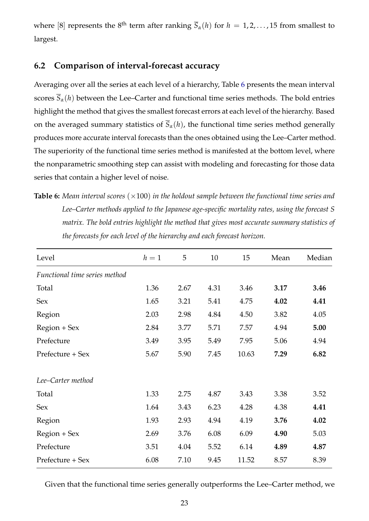where [8] represents the 8<sup>th</sup> term after ranking  $\overline{S}_{\alpha}(h)$  for  $h = 1, 2, ..., 15$  from smallest to largest.

### <span id="page-23-0"></span>**6.2 Comparison of interval-forecast accuracy**

Averaging over all the series at each level of a hierarchy, Table [6](#page-23-1) presents the mean interval scores  $\overline{S}_\alpha(h)$  between the Lee–Carter and functional time series methods. The bold entries highlight the method that gives the smallest forecast errors at each level of the hierarchy. Based on the averaged summary statistics of  $\overline{S}_{\alpha}(h)$ , the functional time series method generally produces more accurate interval forecasts than the ones obtained using the Lee–Carter method. The superiority of the functional time series method is manifested at the bottom level, where the nonparametric smoothing step can assist with modeling and forecasting for those data series that contain a higher level of noise.

<span id="page-23-1"></span>**Table 6:** Mean interval scores  $(\times 100)$  in the holdout sample between the functional time series and *Lee–Carter methods applied to the Japanese age-specific mortality rates, using the forecast S matrix. The bold entries highlight the method that gives most accurate summary statistics of the forecasts for each level of the hierarchy and each forecast horizon.*

| Level                         | $h=1$ | 5    | 10   | 15    | Mean | Median |
|-------------------------------|-------|------|------|-------|------|--------|
| Functional time series method |       |      |      |       |      |        |
| Total                         | 1.36  | 2.67 | 4.31 | 3.46  | 3.17 | 3.46   |
| Sex                           | 1.65  | 3.21 | 5.41 | 4.75  | 4.02 | 4.41   |
| Region                        | 2.03  | 2.98 | 4.84 | 4.50  | 3.82 | 4.05   |
| $Region + Sex$                | 2.84  | 3.77 | 5.71 | 7.57  | 4.94 | 5.00   |
| Prefecture                    | 3.49  | 3.95 | 5.49 | 7.95  | 5.06 | 4.94   |
| Prefecture + Sex              | 5.67  | 5.90 | 7.45 | 10.63 | 7.29 | 6.82   |
| Lee-Carter method             |       |      |      |       |      |        |
| Total                         | 1.33  | 2.75 | 4.87 | 3.43  | 3.38 | 3.52   |
| Sex                           | 1.64  | 3.43 | 6.23 | 4.28  | 4.38 | 4.41   |
| Region                        | 1.93  | 2.93 | 4.94 | 4.19  | 3.76 | 4.02   |
| Region + Sex                  | 2.69  | 3.76 | 6.08 | 6.09  | 4.90 | 5.03   |
| Prefecture                    | 3.51  | 4.04 | 5.52 | 6.14  | 4.89 | 4.87   |
| Prefecture + Sex              | 6.08  | 7.10 | 9.45 | 11.52 | 8.57 | 8.39   |

Given that the functional time series generally outperforms the Lee–Carter method, we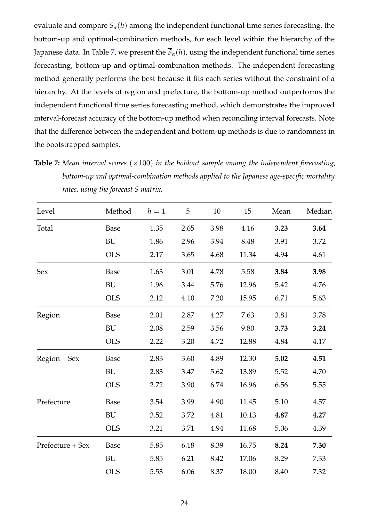evaluate and compare  $\overline{S}_{\alpha}(h)$  among the independent functional time series forecasting, the bottom-up and optimal-combination methods, for each level within the hierarchy of the Japanese data. In Table [7,](#page-24-0) we present the  $\overline{S}_{\alpha}(h)$ , using the independent functional time series forecasting, bottom-up and optimal-combination methods. The independent forecasting method generally performs the best because it fits each series without the constraint of a hierarchy. At the levels of region and prefecture, the bottom-up method outperforms the independent functional time series forecasting method, which demonstrates the improved interval-forecast accuracy of the bottom-up method when reconciling interval forecasts. Note that the difference between the independent and bottom-up methods is due to randomness in the bootstrapped samples.

<span id="page-24-0"></span>**Table 7:** Mean interval scores ( $\times$ 100) in the holdout sample among the independent forecasting, *bottom-up and optimal-combination methods applied to the Japanese age-specific mortality rates, using the forecast S matrix.*

| Level            | Method      | $h=1$ | 5    | 10   | 15    | Mean | Median |
|------------------|-------------|-------|------|------|-------|------|--------|
| Total            | Base        | 1.35  | 2.65 | 3.98 | 4.16  | 3.23 | 3.64   |
|                  | <b>BU</b>   | 1.86  | 2.96 | 3.94 | 8.48  | 3.91 | 3.72   |
|                  | <b>OLS</b>  | 2.17  | 3.65 | 4.68 | 11.34 | 4.94 | 4.61   |
| Sex              | Base        | 1.63  | 3.01 | 4.78 | 5.58  | 3.84 | 3.98   |
|                  | <b>BU</b>   | 1.96  | 3.44 | 5.76 | 12.96 | 5.42 | 4.76   |
|                  | <b>OLS</b>  | 2.12  | 4.10 | 7.20 | 15.95 | 6.71 | 5.63   |
| Region           | <b>Base</b> | 2.01  | 2.87 | 4.27 | 7.63  | 3.81 | 3.78   |
|                  | BU          | 2.08  | 2.59 | 3.56 | 9.80  | 3.73 | 3.24   |
|                  | <b>OLS</b>  | 2.22  | 3.20 | 4.72 | 12.88 | 4.84 | 4.17   |
| Region + Sex     | <b>Base</b> | 2.83  | 3.60 | 4.89 | 12.30 | 5.02 | 4.51   |
|                  | BU          | 2.83  | 3.47 | 5.62 | 13.89 | 5.52 | 4.70   |
|                  | <b>OLS</b>  | 2.72  | 3.90 | 6.74 | 16.96 | 6.56 | 5.55   |
| Prefecture       | <b>Base</b> | 3.54  | 3.99 | 4.90 | 11.45 | 5.10 | 4.57   |
|                  | BU          | 3.52  | 3.72 | 4.81 | 10.13 | 4.87 | 4.27   |
|                  | <b>OLS</b>  | 3.21  | 3.71 | 4.94 | 11.68 | 5.06 | 4.39   |
| Prefecture + Sex | <b>Base</b> | 5.85  | 6.18 | 8.39 | 16.75 | 8.24 | 7.30   |
|                  | BU          | 5.85  | 6.21 | 8.42 | 17.06 | 8.29 | 7.33   |
|                  | <b>OLS</b>  | 5.53  | 6.06 | 8.37 | 18.00 | 8.40 | 7.32   |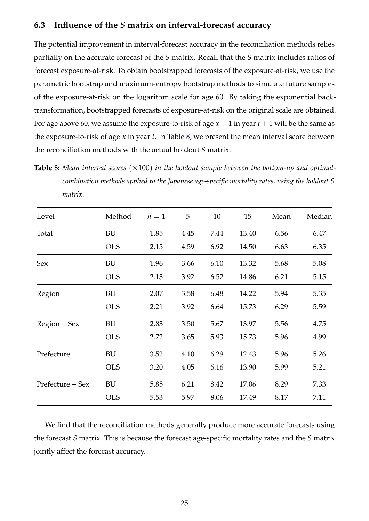### <span id="page-25-0"></span>**6.3 Influence of the** *S* **matrix on interval-forecast accuracy**

The potential improvement in interval-forecast accuracy in the reconciliation methods relies partially on the accurate forecast of the *S* matrix. Recall that the *S* matrix includes ratios of forecast exposure-at-risk. To obtain bootstrapped forecasts of the exposure-at-risk, we use the parametric bootstrap and maximum-entropy bootstrap methods to simulate future samples of the exposure-at-risk on the logarithm scale for age 60. By taking the exponential backtransformation, bootstrapped forecasts of exposure-at-risk on the original scale are obtained. For age above 60, we assume the exposure-to-risk of age  $x + 1$  in year  $t + 1$  will be the same as the exposure-to-risk of age *x* in year *t*. In Table [8,](#page-25-1) we present the mean interval score between the reconciliation methods with the actual holdout *S* matrix.

<span id="page-25-1"></span>**Table 8:** Mean interval scores ( $\times$ 100) in the holdout sample between the bottom-up and optimal*combination methods applied to the Japanese age-specific mortality rates, using the holdout S matrix.*

| Level            | Method     | $h=1$ | 5    | 10   | 15    | Mean | Median |
|------------------|------------|-------|------|------|-------|------|--------|
| Total            | BU         | 1.85  | 4.45 | 7.44 | 13.40 | 6.56 | 6.47   |
|                  | <b>OLS</b> | 2.15  | 4.59 | 6.92 | 14.50 | 6.63 | 6.35   |
| Sex              | BU         | 1.96  | 3.66 | 6.10 | 13.32 | 5.68 | 5.08   |
|                  | <b>OLS</b> | 2.13  | 3.92 | 6.52 | 14.86 | 6.21 | 5.15   |
| Region           | BU         | 2.07  | 3.58 | 6.48 | 14.22 | 5.94 | 5.35   |
|                  | <b>OLS</b> | 2.21  | 3.92 | 6.64 | 15.73 | 6.29 | 5.59   |
| Region + Sex     | BU         | 2.83  | 3.50 | 5.67 | 13.97 | 5.56 | 4.75   |
|                  | <b>OLS</b> | 2.72  | 3.65 | 5.93 | 15.73 | 5.96 | 4.99   |
| Prefecture       | BU         | 3.52  | 4.10 | 6.29 | 12.43 | 5.96 | 5.26   |
|                  | <b>OLS</b> | 3.20  | 4.05 | 6.16 | 13.90 | 5.99 | 5.21   |
| Prefecture + Sex | BU         | 5.85  | 6.21 | 8.42 | 17.06 | 8.29 | 7.33   |
|                  | <b>OLS</b> | 5.53  | 5.97 | 8.06 | 17.49 | 8.17 | 7.11   |

We find that the reconciliation methods generally produce more accurate forecasts using the forecast *S* matrix. This is because the forecast age-specific mortality rates and the *S* matrix jointly affect the forecast accuracy.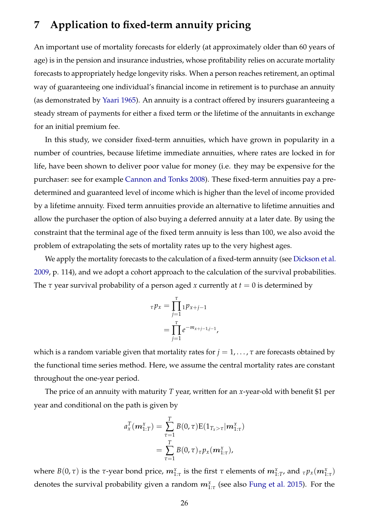# <span id="page-26-0"></span>**7 Application to fixed-term annuity pricing**

An important use of mortality forecasts for elderly (at approximately older than 60 years of age) is in the pension and insurance industries, whose profitability relies on accurate mortality forecasts to appropriately hedge longevity risks. When a person reaches retirement, an optimal way of guaranteeing one individual's financial income in retirement is to purchase an annuity (as demonstrated by [Yaari](#page-36-6) [1965\)](#page-36-6). An annuity is a contract offered by insurers guaranteeing a steady stream of payments for either a fixed term or the lifetime of the annuitants in exchange for an initial premium fee.

In this study, we consider fixed-term annuities, which have grown in popularity in a number of countries, because lifetime immediate annuities, where rates are locked in for life, have been shown to deliver poor value for money (i.e. they may be expensive for the purchaser: see for example [Cannon and Tonks](#page-32-8) [2008\)](#page-32-8). These fixed-term annuities pay a predetermined and guaranteed level of income which is higher than the level of income provided by a lifetime annuity. Fixed term annuities provide an alternative to lifetime annuities and allow the purchaser the option of also buying a deferred annuity at a later date. By using the constraint that the terminal age of the fixed term annuity is less than 100, we also avoid the problem of extrapolating the sets of mortality rates up to the very highest ages.

We apply the mortality forecasts to the calculation of a fixed-term annuity (see [Dickson et al.](#page-33-9) [2009,](#page-33-9) p. 114), and we adopt a cohort approach to the calculation of the survival probabilities. The  $\tau$  year survival probability of a person aged *x* currently at  $t = 0$  is determined by

$$
\tau p_x = \prod_{j=1}^{\tau} 1 p_{x+j-1}
$$
  
= 
$$
\prod_{j=1}^{\tau} e^{-m_{x+j-1,j-1}},
$$

which is a random variable given that mortality rates for  $j = 1, \ldots, \tau$  are forecasts obtained by the functional time series method. Here, we assume the central mortality rates are constant throughout the one-year period.

The price of an annuity with maturity *T* year, written for an *x*-year-old with benefit \$1 per year and conditional on the path is given by

$$
a_x^T(\boldsymbol{m}_{1:T}^x) = \sum_{\tau=1}^T B(0,\tau) E(1_{T_x>\tau}|\boldsymbol{m}_{1:\tau}^x)
$$
  
= 
$$
\sum_{\tau=1}^T B(0,\tau)_{\tau} p_x(\boldsymbol{m}_{1:\tau}^x),
$$

where  $B(0,\tau)$  is the  $\tau$ -year bond price,  $m_{1:\tau}^x$  is the first  $\tau$  elements of  $m_{1:T}^x$ , and  ${}_\tau p_x(m_{1:\tau}^x)$ denotes the survival probability given a random  $m^x_{1:\tau}$  (see also [Fung et al.](#page-33-10) [2015\)](#page-33-10). For the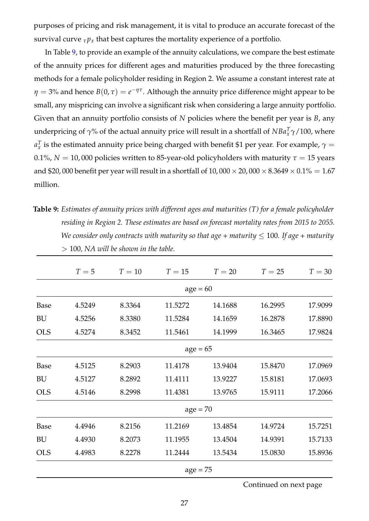purposes of pricing and risk management, it is vital to produce an accurate forecast of the survival curve  $\tau p_x$  that best captures the mortality experience of a portfolio.

In Table [9,](#page-27-0) to provide an example of the annuity calculations, we compare the best estimate of the annuity prices for different ages and maturities produced by the three forecasting methods for a female policyholder residing in Region 2. We assume a constant interest rate at  $\eta = 3$ % and hence  $B(0, \tau) = e^{-\eta \tau}$ . Although the annuity price difference might appear to be small, any mispricing can involve a significant risk when considering a large annuity portfolio. Given that an annuity portfolio consists of *N* policies where the benefit per year is *B*, any underpricing of *γ*% of the actual annuity price will result in a shortfall of *NBa<sup>T</sup> <sup>x</sup> γ*/100, where  $a_x^T$  is the estimated annuity price being charged with benefit \$1 per year. For example,  $\gamma=$ 0.1%,  $N = 10,000$  policies written to 85-year-old policyholders with maturity  $\tau = 15$  years and \$20,000 benefit per year will result in a shortfall of  $10,000 \times 20,000 \times 8.3649 \times 0.1\% = 1.67$ million.

<span id="page-27-0"></span>**Table 9:** *Estimates of annuity prices with different ages and maturities (T) for a female policyholder residing in Region 2. These estimates are based on forecast mortality rates from 2015 to 2055. We consider only contracts with maturity so that age + maturity* ≤ 100*. If age + maturity* > 100*, NA will be shown in the table.*

|             | $T=5$  | $T=10$ | $T=15$     | $T=20$  | $T=25$  | $T=30$  |
|-------------|--------|--------|------------|---------|---------|---------|
|             |        |        | $age = 60$ |         |         |         |
| Base        | 4.5249 | 8.3364 | 11.5272    | 14.1688 | 16.2995 | 17.9099 |
| BU          | 4.5256 | 8.3380 | 11.5284    | 14.1659 | 16.2878 | 17.8890 |
| <b>OLS</b>  | 4.5274 | 8.3452 | 11.5461    | 14.1999 | 16.3465 | 17.9824 |
|             |        |        | $age = 65$ |         |         |         |
| Base        | 4.5125 | 8.2903 | 11.4178    | 13.9404 | 15.8470 | 17.0969 |
| BU          | 4.5127 | 8.2892 | 11.4111    | 13.9227 | 15.8181 | 17.0693 |
| <b>OLS</b>  | 4.5146 | 8.2998 | 11.4381    | 13.9765 | 15.9111 | 17.2066 |
|             |        |        | $age = 70$ |         |         |         |
| <b>Base</b> | 4.4946 | 8.2156 | 11.2169    | 13.4854 | 14.9724 | 15.7251 |
| BU          | 4.4930 | 8.2073 | 11.1955    | 13.4504 | 14.9391 | 15.7133 |
| <b>OLS</b>  | 4.4983 | 8.2278 | 11.2444    | 13.5434 | 15.0830 | 15.8936 |
|             |        |        | $age = 75$ |         |         |         |

Continued on next page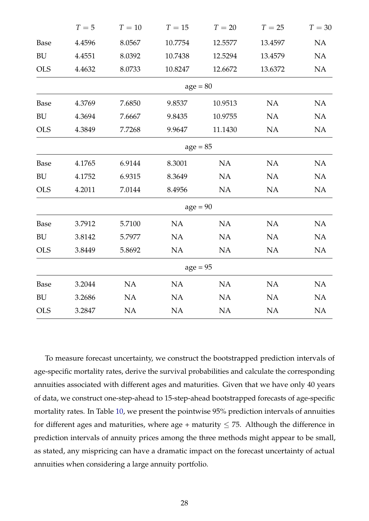|             | $T=5$  | $T=10$    | $T=15$     | $T=20$    | $T=25$    | $T=30$    |
|-------------|--------|-----------|------------|-----------|-----------|-----------|
| <b>Base</b> | 4.4596 | 8.0567    | 10.7754    | 12.5577   | 13.4597   | <b>NA</b> |
| <b>BU</b>   | 4.4551 | 8.0392    | 10.7438    | 12.5294   | 13.4579   | NA        |
| <b>OLS</b>  | 4.4632 | 8.0733    | 10.8247    | 12.6672   | 13.6372   | NA        |
|             |        |           | $age = 80$ |           |           |           |
| Base        | 4.3769 | 7.6850    | 9.8537     | 10.9513   | <b>NA</b> | <b>NA</b> |
| <b>BU</b>   | 4.3694 | 7.6667    | 9.8435     | 10.9755   | <b>NA</b> | <b>NA</b> |
| <b>OLS</b>  | 4.3849 | 7.7268    | 9.9647     | 11.1430   | <b>NA</b> | NA        |
|             |        |           | $age = 85$ |           |           |           |
| Base        | 4.1765 | 6.9144    | 8.3001     | <b>NA</b> | <b>NA</b> | <b>NA</b> |
| <b>BU</b>   | 4.1752 | 6.9315    | 8.3649     | NA        | <b>NA</b> | NA        |
| <b>OLS</b>  | 4.2011 | 7.0144    | 8.4956     | <b>NA</b> | NA        | NA        |
|             |        |           | $age = 90$ |           |           |           |
| Base        | 3.7912 | 5.7100    | <b>NA</b>  | <b>NA</b> | <b>NA</b> | <b>NA</b> |
| <b>BU</b>   | 3.8142 | 5.7977    | NA         | NA        | NA        | NA        |
| <b>OLS</b>  | 3.8449 | 5.8692    | NA         | NA        | NA        | NA        |
|             |        |           | $age = 95$ |           |           |           |
| Base        | 3.2044 | <b>NA</b> | <b>NA</b>  | NA        | <b>NA</b> | <b>NA</b> |
| <b>BU</b>   | 3.2686 | NA        | NA         | NA        | NA        | NA        |
| <b>OLS</b>  | 3.2847 | NA        | NA         | NA        | NA        | NA        |

To measure forecast uncertainty, we construct the bootstrapped prediction intervals of age-specific mortality rates, derive the survival probabilities and calculate the corresponding annuities associated with different ages and maturities. Given that we have only 40 years of data, we construct one-step-ahead to 15-step-ahead bootstrapped forecasts of age-specific mortality rates. In Table [10,](#page-29-1) we present the pointwise 95% prediction intervals of annuities for different ages and maturities, where age + maturity  $\leq$  75. Although the difference in prediction intervals of annuity prices among the three methods might appear to be small, as stated, any mispricing can have a dramatic impact on the forecast uncertainty of actual annuities when considering a large annuity portfolio.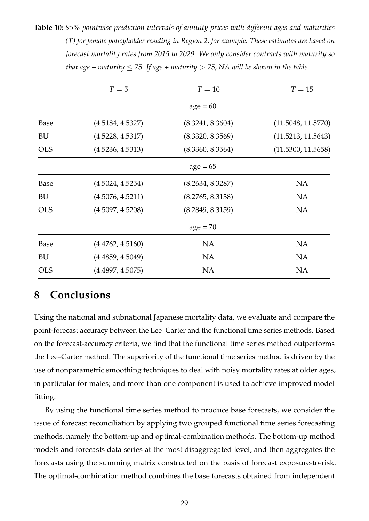<span id="page-29-1"></span>**Table 10:** *95% pointwise prediction intervals of annuity prices with different ages and maturities (T) for female policyholder residing in Region 2, for example. These estimates are based on forecast mortality rates from 2015 to 2029. We only consider contracts with maturity so that age + maturity*  $\leq$  75*. If age + maturity*  $>$  75*, NA will be shown in the table.* 

|            | $T=5$            | $T=10$           | $T=15$             |
|------------|------------------|------------------|--------------------|
|            |                  | $age = 60$       |                    |
| Base       | (4.5184, 4.5327) | (8.3241, 8.3604) | (11.5048, 11.5770) |
| BU         | (4.5228, 4.5317) | (8.3320, 8.3569) | (11.5213, 11.5643) |
| <b>OLS</b> | (4.5236, 4.5313) | (8.3360, 8.3564) | (11.5300, 11.5658) |
|            |                  | $age = 65$       |                    |
| Base       | (4.5024, 4.5254) | (8.2634, 8.3287) | <b>NA</b>          |
| BU         | (4.5076, 4.5211) | (8.2765, 8.3138) | <b>NA</b>          |
| <b>OLS</b> | (4.5097, 4.5208) | (8.2849, 8.3159) | <b>NA</b>          |
|            |                  | $age = 70$       |                    |
| Base       | (4.4762, 4.5160) | <b>NA</b>        | <b>NA</b>          |
| BU         | (4.4859, 4.5049) | <b>NA</b>        | <b>NA</b>          |
| <b>OLS</b> | (4.4897, 4.5075) | <b>NA</b>        | <b>NA</b>          |

### <span id="page-29-0"></span>**8 Conclusions**

Using the national and subnational Japanese mortality data, we evaluate and compare the point-forecast accuracy between the Lee–Carter and the functional time series methods. Based on the forecast-accuracy criteria, we find that the functional time series method outperforms the Lee–Carter method. The superiority of the functional time series method is driven by the use of nonparametric smoothing techniques to deal with noisy mortality rates at older ages, in particular for males; and more than one component is used to achieve improved model fitting.

By using the functional time series method to produce base forecasts, we consider the issue of forecast reconciliation by applying two grouped functional time series forecasting methods, namely the bottom-up and optimal-combination methods. The bottom-up method models and forecasts data series at the most disaggregated level, and then aggregates the forecasts using the summing matrix constructed on the basis of forecast exposure-to-risk. The optimal-combination method combines the base forecasts obtained from independent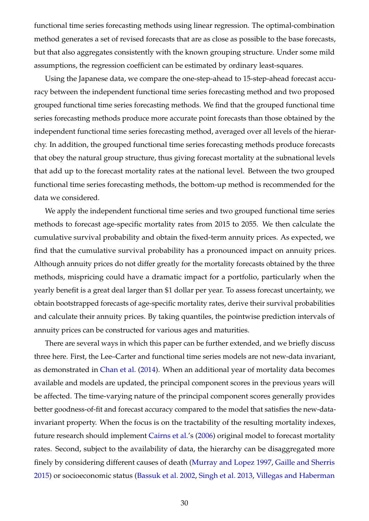functional time series forecasting methods using linear regression. The optimal-combination method generates a set of revised forecasts that are as close as possible to the base forecasts, but that also aggregates consistently with the known grouping structure. Under some mild assumptions, the regression coefficient can be estimated by ordinary least-squares.

Using the Japanese data, we compare the one-step-ahead to 15-step-ahead forecast accuracy between the independent functional time series forecasting method and two proposed grouped functional time series forecasting methods. We find that the grouped functional time series forecasting methods produce more accurate point forecasts than those obtained by the independent functional time series forecasting method, averaged over all levels of the hierarchy. In addition, the grouped functional time series forecasting methods produce forecasts that obey the natural group structure, thus giving forecast mortality at the subnational levels that add up to the forecast mortality rates at the national level. Between the two grouped functional time series forecasting methods, the bottom-up method is recommended for the data we considered.

We apply the independent functional time series and two grouped functional time series methods to forecast age-specific mortality rates from 2015 to 2055. We then calculate the cumulative survival probability and obtain the fixed-term annuity prices. As expected, we find that the cumulative survival probability has a pronounced impact on annuity prices. Although annuity prices do not differ greatly for the mortality forecasts obtained by the three methods, mispricing could have a dramatic impact for a portfolio, particularly when the yearly benefit is a great deal larger than \$1 dollar per year. To assess forecast uncertainty, we obtain bootstrapped forecasts of age-specific mortality rates, derive their survival probabilities and calculate their annuity prices. By taking quantiles, the pointwise prediction intervals of annuity prices can be constructed for various ages and maturities.

There are several ways in which this paper can be further extended, and we briefly discuss three here. First, the Lee–Carter and functional time series models are not new-data invariant, as demonstrated in [Chan et al.](#page-32-9) [\(2014\)](#page-32-9). When an additional year of mortality data becomes available and models are updated, the principal component scores in the previous years will be affected. The time-varying nature of the principal component scores generally provides better goodness-of-fit and forecast accuracy compared to the model that satisfies the new-datainvariant property. When the focus is on the tractability of the resulting mortality indexes, future research should implement [Cairns et al.'](#page-32-10)s [\(2006\)](#page-32-10) original model to forecast mortality rates. Second, subject to the availability of data, the hierarchy can be disaggregated more finely by considering different causes of death [\(Murray and Lopez](#page-35-10) [1997,](#page-35-10) [Gaille and Sherris](#page-33-11) [2015\)](#page-33-11) or socioeconomic status [\(Bassuk et al.](#page-32-11) [2002,](#page-32-11) [Singh et al.](#page-36-7) [2013,](#page-36-7) [Villegas and Haberman](#page-36-8)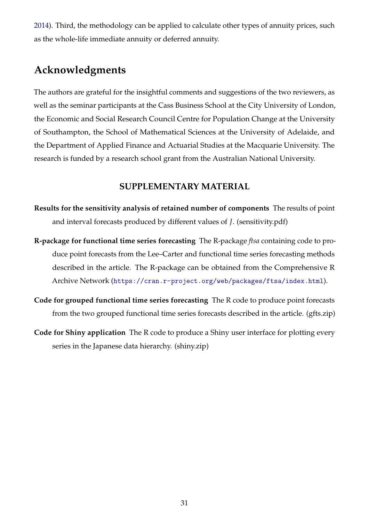[2014\)](#page-36-8). Third, the methodology can be applied to calculate other types of annuity prices, such as the whole-life immediate annuity or deferred annuity.

# **Acknowledgments**

The authors are grateful for the insightful comments and suggestions of the two reviewers, as well as the seminar participants at the Cass Business School at the City University of London, the Economic and Social Research Council Centre for Population Change at the University of Southampton, the School of Mathematical Sciences at the University of Adelaide, and the Department of Applied Finance and Actuarial Studies at the Macquarie University. The research is funded by a research school grant from the Australian National University.

### **SUPPLEMENTARY MATERIAL**

- **Results for the sensitivity analysis of retained number of components** The results of point and interval forecasts produced by different values of *J*. (sensitivity.pdf)
- **R-package for functional time series forecasting** The R-package *ftsa* containing code to produce point forecasts from the Lee–Carter and functional time series forecasting methods described in the article. The R-package can be obtained from the Comprehensive R Archive Network (<https://cran.r-project.org/web/packages/ftsa/index.html>).
- **Code for grouped functional time series forecasting** The R code to produce point forecasts from the two grouped functional time series forecasts described in the article. (gfts.zip)
- **Code for Shiny application** The R code to produce a Shiny user interface for plotting every series in the Japanese data hierarchy. (shiny.zip)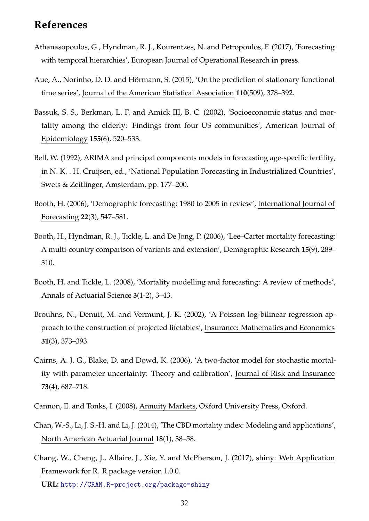## **References**

- <span id="page-32-4"></span>Athanasopoulos, G., Hyndman, R. J., Kourentzes, N. and Petropoulos, F. (2017), 'Forecasting with temporal hierarchies', European Journal of Operational Research **in press**.
- <span id="page-32-7"></span>Aue, A., Norinho, D. D. and Hörmann, S. (2015), 'On the prediction of stationary functional time series', Journal of the American Statistical Association **110**(509), 378–392.
- <span id="page-32-11"></span>Bassuk, S. S., Berkman, L. F. and Amick III, B. C. (2002), 'Socioeconomic status and mortality among the elderly: Findings from four US communities', American Journal of Epidemiology **155**(6), 520–533.
- <span id="page-32-6"></span>Bell, W. (1992), ARIMA and principal components models in forecasting age-specific fertility, in N. K. . H. Cruijsen, ed., 'National Population Forecasting in Industrialized Countries', Swets & Zeitlinger, Amsterdam, pp. 177–200.
- <span id="page-32-0"></span>Booth, H. (2006), 'Demographic forecasting: 1980 to 2005 in review', International Journal of Forecasting **22**(3), 547–581.
- <span id="page-32-2"></span>Booth, H., Hyndman, R. J., Tickle, L. and De Jong, P. (2006), 'Lee–Carter mortality forecasting: A multi-country comparison of variants and extension', Demographic Research **15**(9), 289– 310.
- <span id="page-32-1"></span>Booth, H. and Tickle, L. (2008), 'Mortality modelling and forecasting: A review of methods', Annals of Actuarial Science **3**(1-2), 3–43.
- <span id="page-32-3"></span>Brouhns, N., Denuit, M. and Vermunt, J. K. (2002), 'A Poisson log-bilinear regression approach to the construction of projected lifetables', Insurance: Mathematics and Economics **31**(3), 373–393.
- <span id="page-32-10"></span>Cairns, A. J. G., Blake, D. and Dowd, K. (2006), 'A two-factor model for stochastic mortality with parameter uncertainty: Theory and calibration', Journal of Risk and Insurance **73**(4), 687–718.
- <span id="page-32-8"></span>Cannon, E. and Tonks, I. (2008), Annuity Markets, Oxford University Press, Oxford.
- <span id="page-32-9"></span>Chan, W.-S., Li, J. S.-H. and Li, J. (2014), 'The CBD mortality index: Modeling and applications', North American Actuarial Journal **18**(1), 38–58.
- <span id="page-32-5"></span>Chang, W., Cheng, J., Allaire, J., Xie, Y. and McPherson, J. (2017), shiny: Web Application Framework for R. R package version 1.0.0. **URL:** <http://CRAN.R-project.org/package=shiny>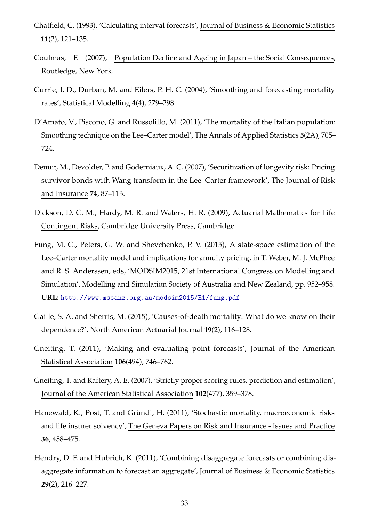- <span id="page-33-6"></span>Chatfield, C. (1993), 'Calculating interval forecasts', Journal of Business & Economic Statistics **11**(2), 121–135.
- <span id="page-33-0"></span>Coulmas, F. (2007), Population Decline and Ageing in Japan – the Social Consequences, Routledge, New York.
- <span id="page-33-3"></span>Currie, I. D., Durban, M. and Eilers, P. H. C. (2004), 'Smoothing and forecasting mortality rates', Statistical Modelling **4**(4), 279–298.
- <span id="page-33-5"></span>D'Amato, V., Piscopo, G. and Russolillo, M. (2011), 'The mortality of the Italian population: Smoothing technique on the Lee–Carter model', The Annals of Applied Statistics **5**(2A), 705– 724.
- <span id="page-33-1"></span>Denuit, M., Devolder, P. and Goderniaux, A. C. (2007), 'Securitization of longevity risk: Pricing survivor bonds with Wang transform in the Lee–Carter framework', The Journal of Risk and Insurance **74**, 87–113.
- <span id="page-33-9"></span>Dickson, D. C. M., Hardy, M. R. and Waters, H. R. (2009), Actuarial Mathematics for Life Contingent Risks, Cambridge University Press, Cambridge.
- <span id="page-33-10"></span>Fung, M. C., Peters, G. W. and Shevchenko, P. V. (2015), A state-space estimation of the Lee–Carter mortality model and implications for annuity pricing, in T. Weber, M. J. McPhee and R. S. Anderssen, eds, 'MODSIM2015, 21st International Congress on Modelling and Simulation', Modelling and Simulation Society of Australia and New Zealand, pp. 952–958. **URL:** <http://www.mssanz.org.au/modsim2015/E1/fung.pdf>
- <span id="page-33-11"></span>Gaille, S. A. and Sherris, M. (2015), 'Causes-of-death mortality: What do we know on their dependence?', North American Actuarial Journal **19**(2), 116–128.
- <span id="page-33-7"></span>Gneiting, T. (2011), 'Making and evaluating point forecasts', Journal of the American Statistical Association **106**(494), 746–762.
- <span id="page-33-8"></span>Gneiting, T. and Raftery, A. E. (2007), 'Strictly proper scoring rules, prediction and estimation', Journal of the American Statistical Association **102**(477), 359–378.
- <span id="page-33-2"></span>Hanewald, K., Post, T. and Gründl, H. (2011), 'Stochastic mortality, macroeconomic risks and life insurer solvency', The Geneva Papers on Risk and Insurance - Issues and Practice **36**, 458–475.
- <span id="page-33-4"></span>Hendry, D. F. and Hubrich, K. (2011), 'Combining disaggregate forecasts or combining disaggregate information to forecast an aggregate', Journal of Business & Economic Statistics **29**(2), 216–227.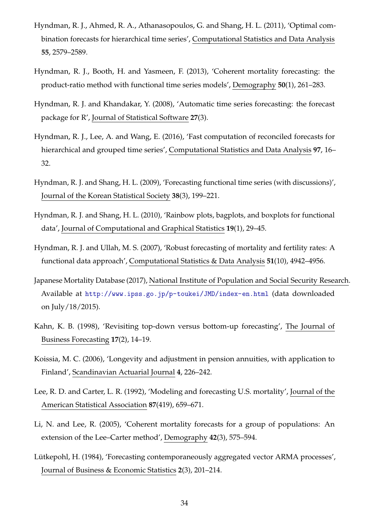- <span id="page-34-4"></span>Hyndman, R. J., Ahmed, R. A., Athanasopoulos, G. and Shang, H. L. (2011), 'Optimal combination forecasts for hierarchical time series', Computational Statistics and Data Analysis **55**, 2579–2589.
- <span id="page-34-11"></span>Hyndman, R. J., Booth, H. and Yasmeen, F. (2013), 'Coherent mortality forecasting: the product-ratio method with functional time series models', Demography **50**(1), 261–283.
- <span id="page-34-10"></span>Hyndman, R. J. and Khandakar, Y. (2008), 'Automatic time series forecasting: the forecast package for R', Journal of Statistical Software **27**(3).
- <span id="page-34-12"></span>Hyndman, R. J., Lee, A. and Wang, E. (2016), 'Fast computation of reconciled forecasts for hierarchical and grouped time series', Computational Statistics and Data Analysis **97**, 16– 32.
- <span id="page-34-9"></span>Hyndman, R. J. and Shang, H. L. (2009), 'Forecasting functional time series (with discussions)', Journal of the Korean Statistical Society **38**(3), 199–221.
- <span id="page-34-7"></span>Hyndman, R. J. and Shang, H. L. (2010), 'Rainbow plots, bagplots, and boxplots for functional data', Journal of Computational and Graphical Statistics **19**(1), 29–45.
- <span id="page-34-2"></span>Hyndman, R. J. and Ullah, M. S. (2007), 'Robust forecasting of mortality and fertility rates: A functional data approach', Computational Statistics & Data Analysis **51**(10), 4942–4956.
- <span id="page-34-6"></span>Japanese Mortality Database (2017), National Institute of Population and Social Security Research. Available at <http://www.ipss.go.jp/p-toukei/JMD/index-en.html> (data downloaded on July/18/2015).
- <span id="page-34-5"></span>Kahn, K. B. (1998), 'Revisiting top-down versus bottom-up forecasting', The Journal of Business Forecasting **17**(2), 14–19.
- <span id="page-34-0"></span>Koissia, M. C. (2006), 'Longevity and adjustment in pension annuities, with application to Finland', Scandinavian Actuarial Journal **4**, 226–242.
- <span id="page-34-1"></span>Lee, R. D. and Carter, L. R. (1992), 'Modeling and forecasting U.S. mortality', Journal of the American Statistical Association **87**(419), 659–671.
- <span id="page-34-8"></span>Li, N. and Lee, R. (2005), 'Coherent mortality forecasts for a group of populations: An extension of the Lee–Carter method', Demography **42**(3), 575–594.
- <span id="page-34-3"></span>Lütkepohl, H. (1984), 'Forecasting contemporaneously aggregated vector ARMA processes', Journal of Business & Economic Statistics **2**(3), 201–214.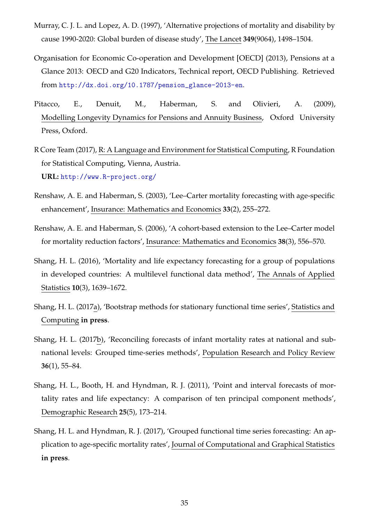- <span id="page-35-10"></span>Murray, C. J. L. and Lopez, A. D. (1997), 'Alternative projections of mortality and disability by cause 1990-2020: Global burden of disease study', The Lancet **349**(9064), 1498–1504.
- <span id="page-35-1"></span>Organisation for Economic Co-operation and Development [OECD] (2013), Pensions at a Glance 2013: OECD and G20 Indicators, Technical report, OECD Publishing. Retrieved from [http://dx.doi.org/10.1787/pension\\_glance-2013-en](http://dx.doi.org/10.1787/pension_glance-2013-en).
- <span id="page-35-5"></span>Pitacco, E., Denuit, M., Haberman, S. and Olivieri, A. (2009), Modelling Longevity Dynamics for Pensions and Annuity Business, Oxford University Press, Oxford.
- <span id="page-35-7"></span>R Core Team (2017), R: A Language and Environment for Statistical Computing, R Foundation for Statistical Computing, Vienna, Austria. **URL:** <http://www.R-project.org/>
- <span id="page-35-3"></span>Renshaw, A. E. and Haberman, S. (2003), 'Lee–Carter mortality forecasting with age-specific enhancement', Insurance: Mathematics and Economics **33**(2), 255–272.
- <span id="page-35-4"></span>Renshaw, A. E. and Haberman, S. (2006), 'A cohort-based extension to the Lee–Carter model for mortality reduction factors', Insurance: Mathematics and Economics **38**(3), 556–570.
- <span id="page-35-8"></span>Shang, H. L. (2016), 'Mortality and life expectancy forecasting for a group of populations in developed countries: A multilevel functional data method', The Annals of Applied Statistics **10**(3), 1639–1672.
- <span id="page-35-9"></span>Shang, H. L. (2017a), 'Bootstrap methods for stationary functional time series', Statistics and Computing **in press**.
- <span id="page-35-6"></span>Shang, H. L. (2017b), 'Reconciling forecasts of infant mortality rates at national and subnational levels: Grouped time-series methods', Population Research and Policy Review **36**(1), 55–84.
- <span id="page-35-2"></span>Shang, H. L., Booth, H. and Hyndman, R. J. (2011), 'Point and interval forecasts of mortality rates and life expectancy: A comparison of ten principal component methods', Demographic Research **25**(5), 173–214.
- <span id="page-35-0"></span>Shang, H. L. and Hyndman, R. J. (2017), 'Grouped functional time series forecasting: An application to age-specific mortality rates', Journal of Computational and Graphical Statistics **in press**.